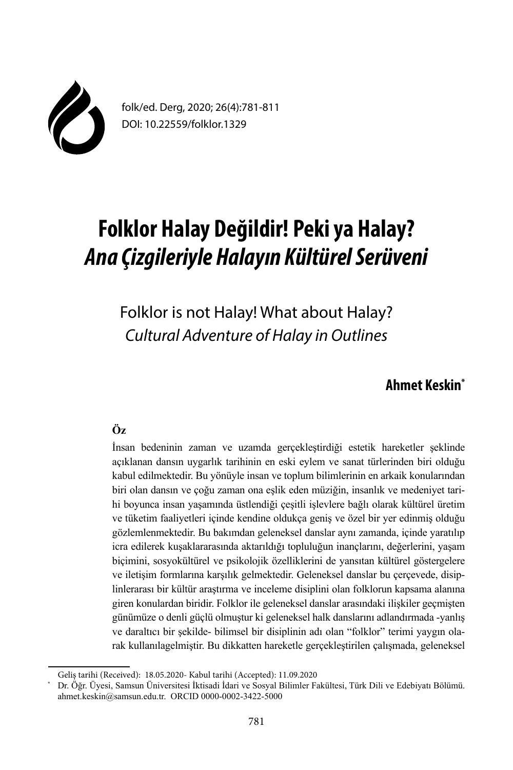

folk/ed. Derg, 2020; 26(4):781-811 DOI: 10.22559/folklor.1329

# **Folklor Halay Değildir! Peki ya Halay?**  *Ana Çizgileriyle Halayın Kültürel Serüveni*

Folklor is not Halay! What about Halay? *Cultural Adventure of Halay in Outlines*

# **Ahmet Keskin\***

# **Öz**

İnsan bedeninin zaman ve uzamda gerçekleştirdiği estetik hareketler şeklinde açıklanan dansın uygarlık tarihinin en eski eylem ve sanat türlerinden biri olduğu kabul edilmektedir. Bu yönüyle insan ve toplum bilimlerinin en arkaik konularından biri olan dansın ve çoğu zaman ona eşlik eden müziğin, insanlık ve medeniyet tarihi boyunca insan yaşamında üstlendiği çeşitli işlevlere bağlı olarak kültürel üretim ve tüketim faaliyetleri içinde kendine oldukça geniş ve özel bir yer edinmiş olduğu gözlemlenmektedir. Bu bakımdan geleneksel danslar aynı zamanda, içinde yaratılıp icra edilerek kuşaklararasında aktarıldığı topluluğun inançlarını, değerlerini, yaşam biçimini, sosyokültürel ve psikolojik özelliklerini de yansıtan kültürel göstergelere ve iletişim formlarına karşılık gelmektedir. Geleneksel danslar bu çerçevede, disiplinlerarası bir kültür araştırma ve inceleme disiplini olan folklorun kapsama alanına giren konulardan biridir. Folklor ile geleneksel danslar arasındaki ilişkiler geçmişten günümüze o denli güçlü olmuştur ki geleneksel halk danslarını adlandırmada -yanlış ve daraltıcı bir şekilde- bilimsel bir disiplinin adı olan "folklor" terimi yaygın olarak kullanılagelmiştir. Bu dikkatten hareketle gerçekleştirilen çalışmada, geleneksel

Geliş tarihi (Received): 18.05.2020- Kabul tarihi (Accepted): 11.09.2020

<sup>\*</sup> Dr. Öğr. Üyesi, Samsun Üniversitesi İktisadi İdari ve Sosyal Bilimler Fakültesi, Türk Dili ve Edebiyatı Bölümü. ahmet.keskin@samsun.edu.tr. ORCID 0000-0002-3422-5000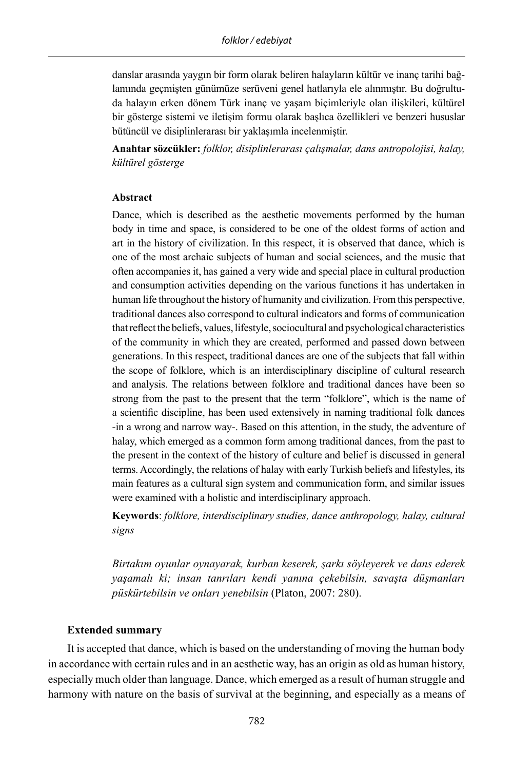danslar arasında yaygın bir form olarak beliren halayların kültür ve inanç tarihi bağlamında geçmişten günümüze serüveni genel hatlarıyla ele alınmıştır. Bu doğrultuda halayın erken dönem Türk inanç ve yaşam biçimleriyle olan ilişkileri, kültürel bir gösterge sistemi ve iletişim formu olarak başlıca özellikleri ve benzeri hususlar bütüncül ve disiplinlerarası bir yaklaşımla incelenmiştir.

**Anahtar sözcükler:** *folklor, disiplinlerarası çalışmalar, dans antropolojisi, halay, kültürel gösterge*

#### **Abstract**

Dance, which is described as the aesthetic movements performed by the human body in time and space, is considered to be one of the oldest forms of action and art in the history of civilization. In this respect, it is observed that dance, which is one of the most archaic subjects of human and social sciences, and the music that often accompanies it, has gained a very wide and special place in cultural production and consumption activities depending on the various functions it has undertaken in human life throughout the history of humanity and civilization. From this perspective, traditional dances also correspond to cultural indicators and forms of communication that reflect the beliefs, values, lifestyle, sociocultural and psychological characteristics of the community in which they are created, performed and passed down between generations. In this respect, traditional dances are one of the subjects that fall within the scope of folklore, which is an interdisciplinary discipline of cultural research and analysis. The relations between folklore and traditional dances have been so strong from the past to the present that the term "folklore", which is the name of a scientific discipline, has been used extensively in naming traditional folk dances -in a wrong and narrow way-. Based on this attention, in the study, the adventure of halay, which emerged as a common form among traditional dances, from the past to the present in the context of the history of culture and belief is discussed in general terms. Accordingly, the relations of halay with early Turkish beliefs and lifestyles, its main features as a cultural sign system and communication form, and similar issues were examined with a holistic and interdisciplinary approach.

**Keywords**: *folklore, interdisciplinary studies, dance anthropology, halay, cultural signs*

*Birtakım oyunlar oynayarak, kurban keserek, şarkı söyleyerek ve dans ederek yaşamalı ki; insan tanrıları kendi yanına çekebilsin, savaşta düşmanları püskürtebilsin ve onları yenebilsin* (Platon, 2007: 280).

## **Extended summary**

It is accepted that dance, which is based on the understanding of moving the human body in accordance with certain rules and in an aesthetic way, has an origin as old as human history, especially much older than language. Dance, which emerged as a result of human struggle and harmony with nature on the basis of survival at the beginning, and especially as a means of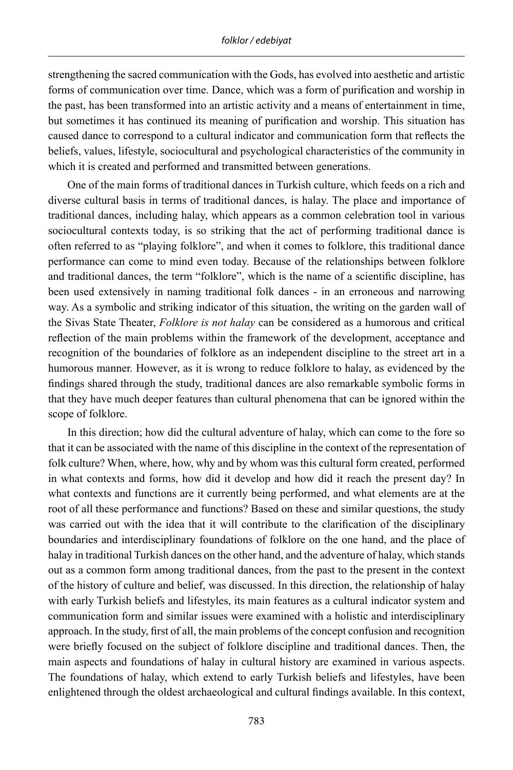strengthening the sacred communication with the Gods, has evolved into aesthetic and artistic forms of communication over time. Dance, which was a form of purification and worship in the past, has been transformed into an artistic activity and a means of entertainment in time, but sometimes it has continued its meaning of purification and worship. This situation has caused dance to correspond to a cultural indicator and communication form that reflects the beliefs, values, lifestyle, sociocultural and psychological characteristics of the community in which it is created and performed and transmitted between generations.

One of the main forms of traditional dances in Turkish culture, which feeds on a rich and diverse cultural basis in terms of traditional dances, is halay. The place and importance of traditional dances, including halay, which appears as a common celebration tool in various sociocultural contexts today, is so striking that the act of performing traditional dance is often referred to as "playing folklore", and when it comes to folklore, this traditional dance performance can come to mind even today. Because of the relationships between folklore and traditional dances, the term "folklore", which is the name of a scientific discipline, has been used extensively in naming traditional folk dances - in an erroneous and narrowing way. As a symbolic and striking indicator of this situation, the writing on the garden wall of the Sivas State Theater, *Folklore is not halay* can be considered as a humorous and critical reflection of the main problems within the framework of the development, acceptance and recognition of the boundaries of folklore as an independent discipline to the street art in a humorous manner. However, as it is wrong to reduce folklore to halay, as evidenced by the findings shared through the study, traditional dances are also remarkable symbolic forms in that they have much deeper features than cultural phenomena that can be ignored within the scope of folklore.

In this direction; how did the cultural adventure of halay, which can come to the fore so that it can be associated with the name of this discipline in the context of the representation of folk culture? When, where, how, why and by whom was this cultural form created, performed in what contexts and forms, how did it develop and how did it reach the present day? In what contexts and functions are it currently being performed, and what elements are at the root of all these performance and functions? Based on these and similar questions, the study was carried out with the idea that it will contribute to the clarification of the disciplinary boundaries and interdisciplinary foundations of folklore on the one hand, and the place of halay in traditional Turkish dances on the other hand, and the adventure of halay, which stands out as a common form among traditional dances, from the past to the present in the context of the history of culture and belief, was discussed. In this direction, the relationship of halay with early Turkish beliefs and lifestyles, its main features as a cultural indicator system and communication form and similar issues were examined with a holistic and interdisciplinary approach. In the study, first of all, the main problems of the concept confusion and recognition were briefly focused on the subject of folklore discipline and traditional dances. Then, the main aspects and foundations of halay in cultural history are examined in various aspects. The foundations of halay, which extend to early Turkish beliefs and lifestyles, have been enlightened through the oldest archaeological and cultural findings available. In this context,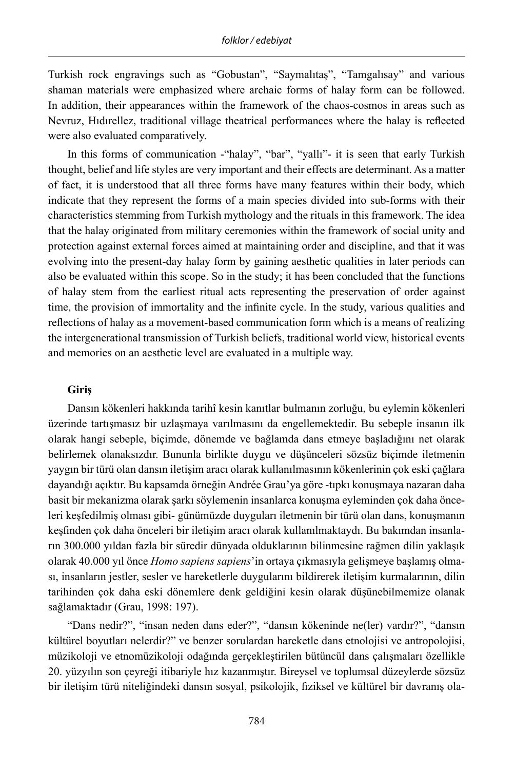Turkish rock engravings such as "Gobustan", "Saymalıtaş", "Tamgalısay" and various shaman materials were emphasized where archaic forms of halay form can be followed. In addition, their appearances within the framework of the chaos-cosmos in areas such as Nevruz, Hıdırellez, traditional village theatrical performances where the halay is reflected were also evaluated comparatively.

In this forms of communication -"halay", "bar", "yallı"- it is seen that early Turkish thought, belief and life styles are very important and their effects are determinant. As a matter of fact, it is understood that all three forms have many features within their body, which indicate that they represent the forms of a main species divided into sub-forms with their characteristics stemming from Turkish mythology and the rituals in this framework. The idea that the halay originated from military ceremonies within the framework of social unity and protection against external forces aimed at maintaining order and discipline, and that it was evolving into the present-day halay form by gaining aesthetic qualities in later periods can also be evaluated within this scope. So in the study; it has been concluded that the functions of halay stem from the earliest ritual acts representing the preservation of order against time, the provision of immortality and the infinite cycle. In the study, various qualities and reflections of halay as a movement-based communication form which is a means of realizing the intergenerational transmission of Turkish beliefs, traditional world view, historical events and memories on an aesthetic level are evaluated in a multiple way.

#### **Giriş**

Dansın kökenleri hakkında tarihî kesin kanıtlar bulmanın zorluğu, bu eylemin kökenleri üzerinde tartışmasız bir uzlaşmaya varılmasını da engellemektedir. Bu sebeple insanın ilk olarak hangi sebeple, biçimde, dönemde ve bağlamda dans etmeye başladığını net olarak belirlemek olanaksızdır. Bununla birlikte duygu ve düşünceleri sözsüz biçimde iletmenin yaygın bir türü olan dansın iletişim aracı olarak kullanılmasının kökenlerinin çok eski çağlara dayandığı açıktır. Bu kapsamda örneğin Andrée Grau'ya göre -tıpkı konuşmaya nazaran daha basit bir mekanizma olarak şarkı söylemenin insanlarca konuşma eyleminden çok daha önceleri keşfedilmiş olması gibi- günümüzde duyguları iletmenin bir türü olan dans, konuşmanın keşfinden çok daha önceleri bir iletişim aracı olarak kullanılmaktaydı. Bu bakımdan insanların 300.000 yıldan fazla bir süredir dünyada olduklarının bilinmesine rağmen dilin yaklaşık olarak 40.000 yıl önce *Homo sapiens sapiens*'in ortaya çıkmasıyla gelişmeye başlamış olması, insanların jestler, sesler ve hareketlerle duygularını bildirerek iletişim kurmalarının, dilin tarihinden çok daha eski dönemlere denk geldiğini kesin olarak düşünebilmemize olanak sağlamaktadır (Grau, 1998: 197).

"Dans nedir?", "insan neden dans eder?", "dansın kökeninde ne(ler) vardır?", "dansın kültürel boyutları nelerdir?" ve benzer sorulardan hareketle dans etnolojisi ve antropolojisi, müzikoloji ve etnomüzikoloji odağında gerçekleştirilen bütüncül dans çalışmaları özellikle 20. yüzyılın son çeyreği itibariyle hız kazanmıştır. Bireysel ve toplumsal düzeylerde sözsüz bir iletişim türü niteliğindeki dansın sosyal, psikolojik, fiziksel ve kültürel bir davranış ola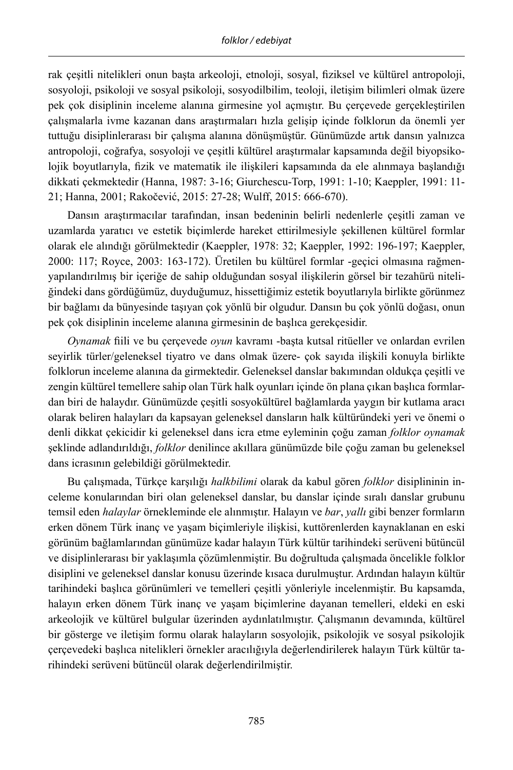rak çeşitli nitelikleri onun başta arkeoloji, etnoloji, sosyal, fiziksel ve kültürel antropoloji, sosyoloji, psikoloji ve sosyal psikoloji, sosyodilbilim, teoloji, iletişim bilimleri olmak üzere pek çok disiplinin inceleme alanına girmesine yol açmıştır. Bu çerçevede gerçekleştirilen çalışmalarla ivme kazanan dans araştırmaları hızla gelişip içinde folklorun da önemli yer tuttuğu disiplinlerarası bir çalışma alanına dönüşmüştür. Günümüzde artık dansın yalnızca antropoloji, coğrafya, sosyoloji ve çeşitli kültürel araştırmalar kapsamında değil biyopsikolojik boyutlarıyla, fizik ve matematik ile ilişkileri kapsamında da ele alınmaya başlandığı dikkati çekmektedir (Hanna, 1987: 3-16; Giurchescu-Torp, 1991: 1-10; Kaeppler, 1991: 11- 21; Hanna, 2001; Rakočević, 2015: 27-28; Wulff, 2015: 666-670).

Dansın araştırmacılar tarafından, insan bedeninin belirli nedenlerle çeşitli zaman ve uzamlarda yaratıcı ve estetik biçimlerde hareket ettirilmesiyle şekillenen kültürel formlar olarak ele alındığı görülmektedir (Kaeppler, 1978: 32; Kaeppler, 1992: 196-197; Kaeppler, 2000: 117; Royce, 2003: 163-172). Üretilen bu kültürel formlar -geçici olmasına rağmenyapılandırılmış bir içeriğe de sahip olduğundan sosyal ilişkilerin görsel bir tezahürü niteliğindeki dans gördüğümüz, duyduğumuz, hissettiğimiz estetik boyutlarıyla birlikte görünmez bir bağlamı da bünyesinde taşıyan çok yönlü bir olgudur. Dansın bu çok yönlü doğası, onun pek çok disiplinin inceleme alanına girmesinin de başlıca gerekçesidir.

*Oynamak* fiili ve bu çerçevede *oyun* kavramı -başta kutsal ritüeller ve onlardan evrilen seyirlik türler/geleneksel tiyatro ve dans olmak üzere- çok sayıda ilişkili konuyla birlikte folklorun inceleme alanına da girmektedir. Geleneksel danslar bakımından oldukça çeşitli ve zengin kültürel temellere sahip olan Türk halk oyunları içinde ön plana çıkan başlıca formlardan biri de halaydır. Günümüzde çeşitli sosyokültürel bağlamlarda yaygın bir kutlama aracı olarak beliren halayları da kapsayan geleneksel dansların halk kültüründeki yeri ve önemi o denli dikkat çekicidir ki geleneksel dans icra etme eyleminin çoğu zaman *folklor oynamak*  şeklinde adlandırıldığı, *folklor* denilince akıllara günümüzde bile çoğu zaman bu geleneksel dans icrasının gelebildiği görülmektedir.

Bu çalışmada, Türkçe karşılığı *halkbilimi* olarak da kabul gören *folklor* disiplininin inceleme konularından biri olan geleneksel danslar, bu danslar içinde sıralı danslar grubunu temsil eden *halaylar* örnekleminde ele alınmıştır. Halayın ve *bar*, *yallı* gibi benzer formların erken dönem Türk inanç ve yaşam biçimleriyle ilişkisi, kuttörenlerden kaynaklanan en eski görünüm bağlamlarından günümüze kadar halayın Türk kültür tarihindeki serüveni bütüncül ve disiplinlerarası bir yaklaşımla çözümlenmiştir. Bu doğrultuda çalışmada öncelikle folklor disiplini ve geleneksel danslar konusu üzerinde kısaca durulmuştur. Ardından halayın kültür tarihindeki başlıca görünümleri ve temelleri çeşitli yönleriyle incelenmiştir. Bu kapsamda, halayın erken dönem Türk inanç ve yaşam biçimlerine dayanan temelleri, eldeki en eski arkeolojik ve kültürel bulgular üzerinden aydınlatılmıştır. Çalışmanın devamında, kültürel bir gösterge ve iletişim formu olarak halayların sosyolojik, psikolojik ve sosyal psikolojik çerçevedeki başlıca nitelikleri örnekler aracılığıyla değerlendirilerek halayın Türk kültür tarihindeki serüveni bütüncül olarak değerlendirilmiştir.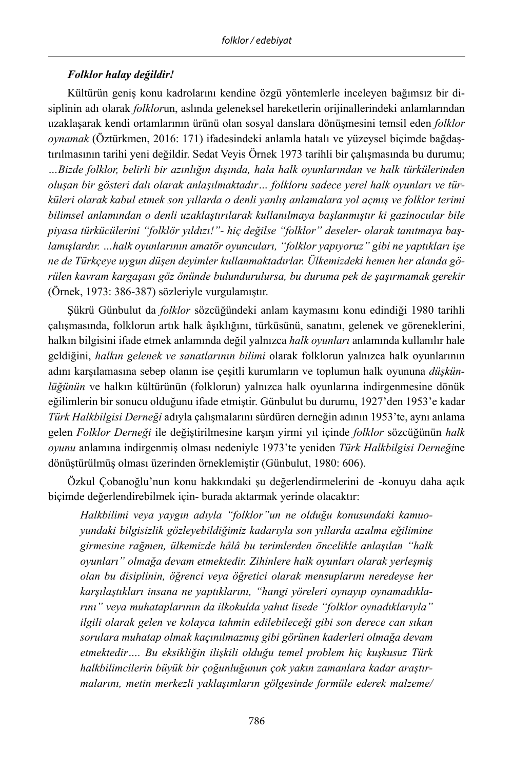# *Folklor halay değildir!*

Kültürün geniş konu kadrolarını kendine özgü yöntemlerle inceleyen bağımsız bir disiplinin adı olarak *folklor*un, aslında geleneksel hareketlerin orijinallerindeki anlamlarından uzaklaşarak kendi ortamlarının ürünü olan sosyal danslara dönüşmesini temsil eden *folklor oynamak* (Öztürkmen, 2016: 171) ifadesindeki anlamla hatalı ve yüzeysel biçimde bağdaştırılmasının tarihi yeni değildir. Sedat Veyis Örnek 1973 tarihli bir çalışmasında bu durumu; *…Bizde folklor, belirli bir azınlığın dışında, hala halk oyunlarından ve halk türkülerinden oluşan bir gösteri dalı olarak anlaşılmaktadır… folkloru sadece yerel halk oyunları ve türküleri olarak kabul etmek son yıllarda o denli yanlış anlamalara yol açmış ve folklor terimi bilimsel anlamından o denli uzaklaştırılarak kullanılmaya başlanmıştır ki gazinocular bile piyasa türkücülerini "folklör yıldızı!"- hiç değilse "folklor" deseler- olarak tanıtmaya başlamışlardır. …halk oyunlarının amatör oyuncuları, "folklor yapıyoruz" gibi ne yaptıkları işe ne de Türkçeye uygun düşen deyimler kullanmaktadırlar. Ülkemizdeki hemen her alanda görülen kavram kargaşası göz önünde bulundurulursa, bu duruma pek de şaşırmamak gerekir*  (Örnek, 1973: 386-387) sözleriyle vurgulamıştır.

Şükrü Günbulut da *folklor* sözcüğündeki anlam kaymasını konu edindiği 1980 tarihli çalışmasında, folklorun artık halk âşıklığını, türküsünü, sanatını, gelenek ve göreneklerini, halkın bilgisini ifade etmek anlamında değil yalnızca *halk oyunları* anlamında kullanılır hale geldiğini, *halkın gelenek ve sanatlarının bilimi* olarak folklorun yalnızca halk oyunlarının adını karşılamasına sebep olanın ise çeşitli kurumların ve toplumun halk oyununa *düşkünlüğünün* ve halkın kültürünün (folklorun) yalnızca halk oyunlarına indirgenmesine dönük eğilimlerin bir sonucu olduğunu ifade etmiştir. Günbulut bu durumu, 1927'den 1953'e kadar *Türk Halkbilgisi Derneği* adıyla çalışmalarını sürdüren derneğin adının 1953'te, aynı anlama gelen *Folklor Derneği* ile değiştirilmesine karşın yirmi yıl içinde *folklor* sözcüğünün *halk oyunu* anlamına indirgenmiş olması nedeniyle 1973'te yeniden *Türk Halkbilgisi Derneği*ne dönüştürülmüş olması üzerinden örneklemiştir (Günbulut, 1980: 606).

Özkul Çobanoğlu'nun konu hakkındaki şu değerlendirmelerini de -konuyu daha açık biçimde değerlendirebilmek için- burada aktarmak yerinde olacaktır:

*Halkbilimi veya yaygın adıyla "folklor"un ne olduğu konusundaki kamuoyundaki bilgisizlik gözleyebildiğimiz kadarıyla son yıllarda azalma eğilimine girmesine rağmen, ülkemizde hâlâ bu terimlerden öncelikle anlaşılan "halk oyunları" olmağa devam etmektedir. Zihinlere halk oyunları olarak yerleşmiş olan bu disiplinin, öğrenci veya öğretici olarak mensuplarını neredeyse her karşılaştıkları insana ne yaptıklarını, "hangi yöreleri oynayıp oynamadıklarını" veya muhataplarının da ilkokulda yahut lisede "folklor oynadıklarıyla" ilgili olarak gelen ve kolayca tahmin edilebileceği gibi son derece can sıkan sorulara muhatap olmak kaçınılmazmış gibi görünen kaderleri olmağa devam etmektedir…. Bu eksikliğin ilişkili olduğu temel problem hiç kuşkusuz Türk halkbilimcilerin büyük bir çoğunluğunun çok yakın zamanlara kadar araştırmalarını, metin merkezli yaklaşımların gölgesinde formüle ederek malzeme/*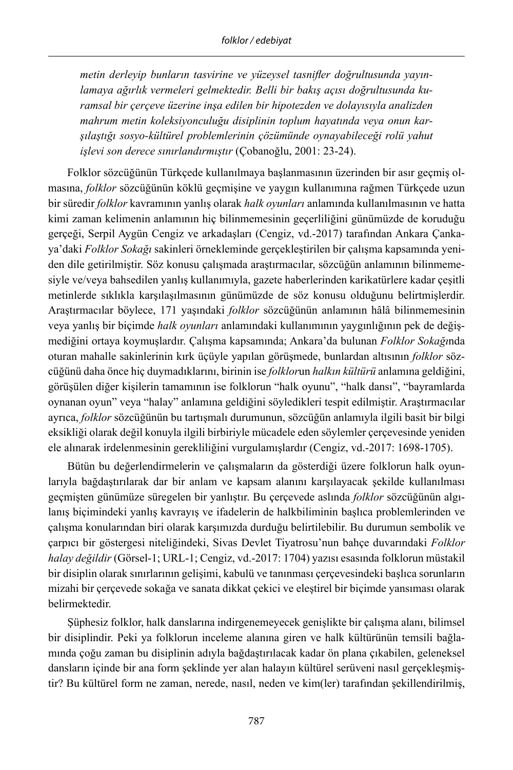*metin derleyip bunların tasvirine ve yüzeysel tasnifler doğrultusunda yayınlamaya ağırlık vermeleri gelmektedir. Belli bir bakış açısı doğrultusunda kuramsal bir çerçeve üzerine inşa edilen bir hipotezden ve dolayısıyla analizden mahrum metin koleksiyonculuğu disiplinin toplum hayatında veya onun karşılaştığı sosyo-kültürel problemlerinin çözümünde oynayabileceği rolü yahut işlevi son derece sınırlandırmıştır* (Çobanoğlu, 2001: 23-24).

Folklor sözcüğünün Türkçede kullanılmaya başlanmasının üzerinden bir asır geçmiş olmasına, *folklor* sözcüğünün köklü geçmişine ve yaygın kullanımına rağmen Türkçede uzun bir süredir *folklor* kavramının yanlış olarak *halk oyunları* anlamında kullanılmasının ve hatta kimi zaman kelimenin anlamının hiç bilinmemesinin geçerliliğini günümüzde de koruduğu gerçeği, Serpil Aygün Cengiz ve arkadaşları (Cengiz, vd.-2017) tarafından Ankara Çankaya'daki *Folklor Sokağı* sakinleri örnekleminde gerçekleştirilen bir çalışma kapsamında yeniden dile getirilmiştir. Söz konusu çalışmada araştırmacılar, sözcüğün anlamının bilinmemesiyle ve/veya bahsedilen yanlış kullanımıyla, gazete haberlerinden karikatürlere kadar çeşitli metinlerde sıklıkla karşılaşılmasının günümüzde de söz konusu olduğunu belirtmişlerdir. Araştırmacılar böylece, 171 yaşındaki *folklor* sözcüğünün anlamının hâlâ bilinmemesinin veya yanlış bir biçimde *halk oyunları* anlamındaki kullanımının yaygınlığının pek de değişmediğini ortaya koymuşlardır. Çalışma kapsamında; Ankara'da bulunan *Folklor Sokağı*nda oturan mahalle sakinlerinin kırk üçüyle yapılan görüşmede, bunlardan altısının *folklor* sözcüğünü daha önce hiç duymadıklarını, birinin ise *folklor*un *halkın kültürü* anlamına geldiğini, görüşülen diğer kişilerin tamamının ise folklorun "halk oyunu", "halk dansı", "bayramlarda oynanan oyun" veya "halay" anlamına geldiğini söyledikleri tespit edilmiştir. Araştırmacılar ayrıca, *folklor* sözcüğünün bu tartışmalı durumunun, sözcüğün anlamıyla ilgili basit bir bilgi eksikliği olarak değil konuyla ilgili birbiriyle mücadele eden söylemler çerçevesinde yeniden ele alınarak irdelenmesinin gerekliliğini vurgulamışlardır (Cengiz, vd.-2017: 1698-1705).

Bütün bu değerlendirmelerin ve çalışmaların da gösterdiği üzere folklorun halk oyunlarıyla bağdaştırılarak dar bir anlam ve kapsam alanını karşılayacak şekilde kullanılması geçmişten günümüze süregelen bir yanlıştır. Bu çerçevede aslında *folklor* sözcüğünün algılanış biçimindeki yanlış kavrayış ve ifadelerin de halkbiliminin başlıca problemlerinden ve çalışma konularından biri olarak karşımızda durduğu belirtilebilir. Bu durumun sembolik ve çarpıcı bir göstergesi niteliğindeki, Sivas Devlet Tiyatrosu'nun bahçe duvarındaki *Folklor halay değildir* (Görsel-1; URL-1; Cengiz, vd.-2017: 1704) yazısı esasında folklorun müstakil bir disiplin olarak sınırlarının gelişimi, kabulü ve tanınması çerçevesindeki başlıca sorunların mizahi bir çerçevede sokağa ve sanata dikkat çekici ve eleştirel bir biçimde yansıması olarak belirmektedir.

Şüphesiz folklor, halk danslarına indirgenemeyecek genişlikte bir çalışma alanı, bilimsel bir disiplindir. Peki ya folklorun inceleme alanına giren ve halk kültürünün temsili bağlamında çoğu zaman bu disiplinin adıyla bağdaştırılacak kadar ön plana çıkabilen, geleneksel dansların içinde bir ana form şeklinde yer alan halayın kültürel serüveni nasıl gerçekleşmiştir? Bu kültürel form ne zaman, nerede, nasıl, neden ve kim(ler) tarafından şekillendirilmiş,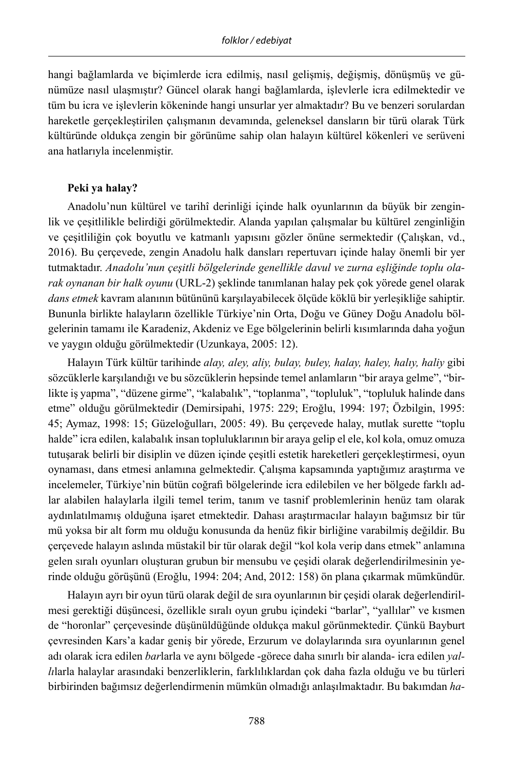hangi bağlamlarda ve biçimlerde icra edilmiş, nasıl gelişmiş, değişmiş, dönüşmüş ve günümüze nasıl ulaşmıştır? Güncel olarak hangi bağlamlarda, işlevlerle icra edilmektedir ve tüm bu icra ve işlevlerin kökeninde hangi unsurlar yer almaktadır? Bu ve benzeri sorulardan hareketle gerçekleştirilen çalışmanın devamında, geleneksel dansların bir türü olarak Türk kültüründe oldukça zengin bir görünüme sahip olan halayın kültürel kökenleri ve serüveni ana hatlarıyla incelenmiştir.

## **Peki ya halay?**

Anadolu'nun kültürel ve tarihî derinliği içinde halk oyunlarının da büyük bir zenginlik ve çeşitlilikle belirdiği görülmektedir. Alanda yapılan çalışmalar bu kültürel zenginliğin ve çeşitliliğin çok boyutlu ve katmanlı yapısını gözler önüne sermektedir (Çalışkan, vd., 2016). Bu çerçevede, zengin Anadolu halk dansları repertuvarı içinde halay önemli bir yer tutmaktadır. *Anadolu'nun çeşitli bölgelerinde genellikle davul ve zurna eşliğinde toplu olarak oynanan bir halk oyunu* (URL-2) şeklinde tanımlanan halay pek çok yörede genel olarak *dans etmek* kavram alanının bütününü karşılayabilecek ölçüde köklü bir yerleşikliğe sahiptir. Bununla birlikte halayların özellikle Türkiye'nin Orta, Doğu ve Güney Doğu Anadolu bölgelerinin tamamı ile Karadeniz, Akdeniz ve Ege bölgelerinin belirli kısımlarında daha yoğun ve yaygın olduğu görülmektedir (Uzunkaya, 2005: 12).

Halayın Türk kültür tarihinde *alay, aley, aliy, bulay, buley, halay, haley, halıy, haliy* gibi sözcüklerle karşılandığı ve bu sözcüklerin hepsinde temel anlamların "bir araya gelme", "birlikte iş yapma", "düzene girme", "kalabalık", "toplanma", "topluluk", "topluluk halinde dans etme" olduğu görülmektedir (Demirsipahi, 1975: 229; Eroğlu, 1994: 197; Özbilgin, 1995: 45; Aymaz, 1998: 15; Güzeloğulları, 2005: 49). Bu çerçevede halay, mutlak surette "toplu halde" icra edilen, kalabalık insan topluluklarının bir araya gelip el ele, kol kola, omuz omuza tutuşarak belirli bir disiplin ve düzen içinde çeşitli estetik hareketleri gerçekleştirmesi, oyun oynaması, dans etmesi anlamına gelmektedir. Çalışma kapsamında yaptığımız araştırma ve incelemeler, Türkiye'nin bütün coğrafi bölgelerinde icra edilebilen ve her bölgede farklı adlar alabilen halaylarla ilgili temel terim, tanım ve tasnif problemlerinin henüz tam olarak aydınlatılmamış olduğuna işaret etmektedir. Dahası araştırmacılar halayın bağımsız bir tür mü yoksa bir alt form mu olduğu konusunda da henüz fikir birliğine varabilmiş değildir. Bu çerçevede halayın aslında müstakil bir tür olarak değil "kol kola verip dans etmek" anlamına gelen sıralı oyunları oluşturan grubun bir mensubu ve çeşidi olarak değerlendirilmesinin yerinde olduğu görüşünü (Eroğlu, 1994: 204; And, 2012: 158) ön plana çıkarmak mümkündür.

Halayın ayrı bir oyun türü olarak değil de sıra oyunlarının bir çeşidi olarak değerlendirilmesi gerektiği düşüncesi, özellikle sıralı oyun grubu içindeki "barlar", "yallılar" ve kısmen de "horonlar" çerçevesinde düşünüldüğünde oldukça makul görünmektedir. Çünkü Bayburt çevresinden Kars'a kadar geniş bir yörede, Erzurum ve dolaylarında sıra oyunlarının genel adı olarak icra edilen *bar*larla ve aynı bölgede -görece daha sınırlı bir alanda- icra edilen *yallı*larla halaylar arasındaki benzerliklerin, farklılıklardan çok daha fazla olduğu ve bu türleri birbirinden bağımsız değerlendirmenin mümkün olmadığı anlaşılmaktadır. Bu bakımdan *ha-*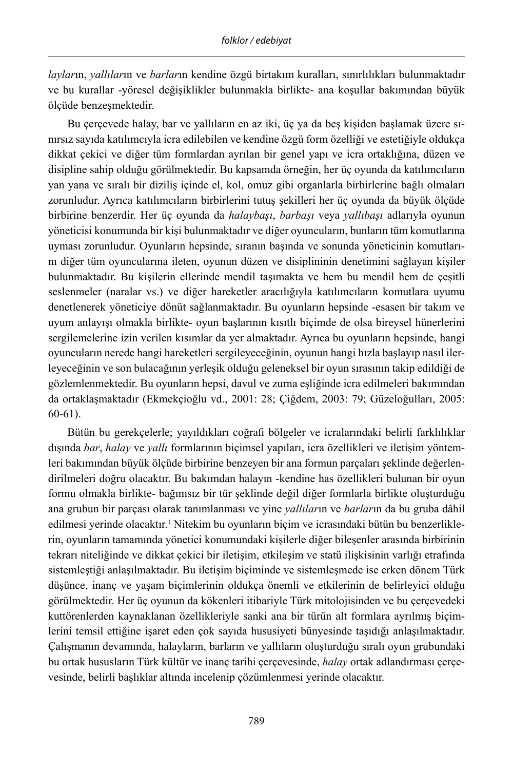*laylar*ın, *yallılar*ın ve *barlar*ın kendine özgü birtakım kuralları, sınırlılıkları bulunmaktadır ve bu kurallar -yöresel değişiklikler bulunmakla birlikte- ana koşullar bakımından büyük ölçüde benzeşmektedir.

Bu çerçevede halay, bar ve yallıların en az iki, üç ya da beş kişiden başlamak üzere sınırsız sayıda katılımcıyla icra edilebilen ve kendine özgü form özelliği ve estetiğiyle oldukça dikkat çekici ve diğer tüm formlardan ayrılan bir genel yapı ve icra ortaklığına, düzen ve disipline sahip olduğu görülmektedir. Bu kapsamda örneğin, her üç oyunda da katılımcıların yan yana ve sıralı bir diziliş içinde el, kol, omuz gibi organlarla birbirlerine bağlı olmaları zorunludur. Ayrıca katılımcıların birbirlerini tutuş şekilleri her üç oyunda da büyük ölçüde birbirine benzerdir. Her üç oyunda da *halaybaşı*, *barbaşı* veya *yallıbaşı* adlarıyla oyunun yöneticisi konumunda bir kişi bulunmaktadır ve diğer oyuncuların, bunların tüm komutlarına uyması zorunludur. Oyunların hepsinde, sıranın başında ve sonunda yöneticinin komutlarını diğer tüm oyuncularına ileten, oyunun düzen ve disiplininin denetimini sağlayan kişiler bulunmaktadır. Bu kişilerin ellerinde mendil taşımakta ve hem bu mendil hem de çeşitli seslenmeler (naralar vs.) ve diğer hareketler aracılığıyla katılımcıların komutlara uyumu denetlenerek yöneticiye dönüt sağlanmaktadır. Bu oyunların hepsinde -esasen bir takım ve uyum anlayışı olmakla birlikte- oyun başlarının kısıtlı biçimde de olsa bireysel hünerlerini sergilemelerine izin verilen kısımlar da yer almaktadır. Ayrıca bu oyunların hepsinde, hangi oyuncuların nerede hangi hareketleri sergileyeceğinin, oyunun hangi hızla başlayıp nasıl ilerleyeceğinin ve son bulacağının yerleşik olduğu geleneksel bir oyun sırasının takip edildiği de gözlemlenmektedir. Bu oyunların hepsi, davul ve zurna eşliğinde icra edilmeleri bakımından da ortaklaşmaktadır (Ekmekçioğlu vd., 2001: 28; Çiğdem, 2003: 79; Güzeloğulları, 2005: 60-61).

Bütün bu gerekçelerle; yayıldıkları coğrafi bölgeler ve icralarındaki belirli farklılıklar dışında *bar*, *halay* ve *yallı* formlarının biçimsel yapıları, icra özellikleri ve iletişim yöntemleri bakımından büyük ölçüde birbirine benzeyen bir ana formun parçaları şeklinde değerlendirilmeleri doğru olacaktır. Bu bakımdan halayın -kendine has özellikleri bulunan bir oyun formu olmakla birlikte- bağımsız bir tür şeklinde değil diğer formlarla birlikte oluşturduğu ana grubun bir parçası olarak tanımlanması ve yine *yallılar*ın ve *barlar*ın da bu gruba dâhil edilmesi yerinde olacaktır.1 Nitekim bu oyunların biçim ve icrasındaki bütün bu benzerliklerin, oyunların tamamında yönetici konumundaki kişilerle diğer bileşenler arasında birbirinin tekrarı niteliğinde ve dikkat çekici bir iletişim, etkileşim ve statü ilişkisinin varlığı etrafında sistemleştiği anlaşılmaktadır. Bu iletişim biçiminde ve sistemleşmede ise erken dönem Türk düşünce, inanç ve yaşam biçimlerinin oldukça önemli ve etkilerinin de belirleyici olduğu görülmektedir. Her üç oyunun da kökenleri itibariyle Türk mitolojisinden ve bu çerçevedeki kuttörenlerden kaynaklanan özellikleriyle sanki ana bir türün alt formlara ayrılmış biçimlerini temsil ettiğine işaret eden çok sayıda hususiyeti bünyesinde taşıdığı anlaşılmaktadır. Çalışmanın devamında, halayların, barların ve yallıların oluşturduğu sıralı oyun grubundaki bu ortak hususların Türk kültür ve inanç tarihi çerçevesinde, *halay* ortak adlandırması çerçevesinde, belirli başlıklar altında incelenip çözümlenmesi yerinde olacaktır.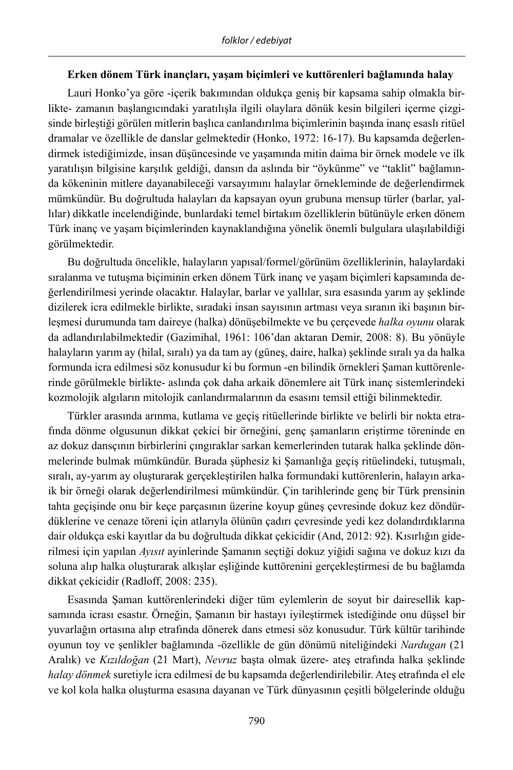## **Erken dönem Türk inançları, yaşam biçimleri ve kuttörenleri bağlamında halay**

Lauri Honko'ya göre -içerik bakımından oldukça geniş bir kapsama sahip olmakla birlikte- zamanın başlangıcındaki yaratılışla ilgili olaylara dönük kesin bilgileri içerme çizgisinde birleştiği görülen mitlerin başlıca canlandırılma biçimlerinin başında inanç esaslı ritüel dramalar ve özellikle de danslar gelmektedir (Honko, 1972: 16-17). Bu kapsamda değerlendirmek istediğimizde, insan düşüncesinde ve yaşamında mitin daima bir örnek modele ve ilk yaratılışın bilgisine karşılık geldiği, dansın da aslında bir "öykünme" ve "taklit" bağlamında kökeninin mitlere dayanabileceği varsayımını halaylar örnekleminde de değerlendirmek mümkündür. Bu doğrultuda halayları da kapsayan oyun grubuna mensup türler (barlar, yallılar) dikkatle incelendiğinde, bunlardaki temel birtakım özelliklerin bütünüyle erken dönem Türk inanç ve yaşam biçimlerinden kaynaklandığına yönelik önemli bulgulara ulaşılabildiği görülmektedir.

Bu doğrultuda öncelikle, halayların yapısal/formel/görünüm özelliklerinin, halaylardaki sıralanma ve tutuşma biçiminin erken dönem Türk inanç ve yaşam biçimleri kapsamında değerlendirilmesi yerinde olacaktır. Halaylar, barlar ve yallılar, sıra esasında yarım ay şeklinde dizilerek icra edilmekle birlikte, sıradaki insan sayısının artması veya sıranın iki başının birleşmesi durumunda tam daireye (halka) dönüşebilmekte ve bu çerçevede *halka oyunu* olarak da adlandırılabilmektedir (Gazimihal, 1961: 106'dan aktaran Demir, 2008: 8). Bu yönüyle halayların yarım ay (hilal, sıralı) ya da tam ay (güneş, daire, halka) şeklinde sıralı ya da halka formunda icra edilmesi söz konusudur ki bu formun -en bilindik örnekleri Şaman kuttörenlerinde görülmekle birlikte- aslında çok daha arkaik dönemlere ait Türk inanç sistemlerindeki kozmolojik algıların mitolojik canlandırmalarının da esasını temsil ettiği bilinmektedir.

Türkler arasında arınma, kutlama ve geçiş ritüellerinde birlikte ve belirli bir nokta etrafında dönme olgusunun dikkat çekici bir örneğini, genç şamanların eriştirme töreninde en az dokuz dansçının birbirlerini çıngıraklar sarkan kemerlerinden tutarak halka şeklinde dönmelerinde bulmak mümkündür. Burada şüphesiz ki Şamanlığa geçiş ritüelindeki, tutuşmalı, sıralı, ay-yarım ay oluşturarak gerçekleştirilen halka formundaki kuttörenlerin, halayın arkaik bir örneği olarak değerlendirilmesi mümkündür. Çin tarihlerinde genç bir Türk prensinin tahta geçişinde onu bir keçe parçasının üzerine koyup güneş çevresinde dokuz kez döndürdüklerine ve cenaze töreni için atlarıyla ölünün çadırı çevresinde yedi kez dolandırdıklarına dair oldukça eski kayıtlar da bu doğrultuda dikkat çekicidir (And, 2012: 92). Kısırlığın giderilmesi için yapılan *Ayısıt* ayinlerinde Şamanın seçtiği dokuz yiğidi sağına ve dokuz kızı da soluna alıp halka oluşturarak alkışlar eşliğinde kuttörenini gerçekleştirmesi de bu bağlamda dikkat çekicidir (Radloff, 2008: 235).

Esasında Şaman kuttörenlerindeki diğer tüm eylemlerin de soyut bir dairesellik kapsamında icrası esastır. Örneğin, Şamanın bir hastayı iyileştirmek istediğinde onu düşsel bir yuvarlağın ortasına alıp etrafında dönerek dans etmesi söz konusudur. Türk kültür tarihinde oyunun toy ve şenlikler bağlamında -özellikle de gün dönümü niteliğindeki *Nardugan* (21 Aralık) ve *Kızıldoğan* (21 Mart), *Nevruz* başta olmak üzere- ateş etrafında halka şeklinde *halay dönmek* suretiyle icra edilmesi de bu kapsamda değerlendirilebilir. Ateş etrafında el ele ve kol kola halka oluşturma esasına dayanan ve Türk dünyasının çeşitli bölgelerinde olduğu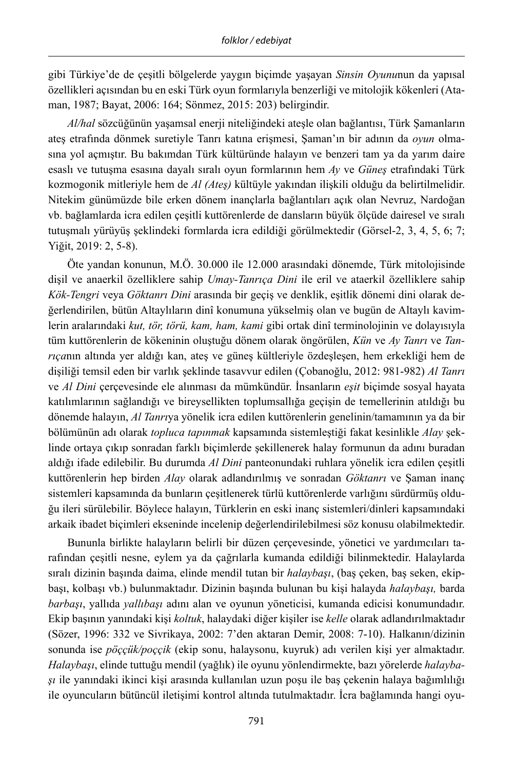gibi Türkiye'de de çeşitli bölgelerde yaygın biçimde yaşayan *Sinsin Oyunu*nun da yapısal özellikleri açısından bu en eski Türk oyun formlarıyla benzerliği ve mitolojik kökenleri (Ataman, 1987; Bayat, 2006: 164; Sönmez, 2015: 203) belirgindir.

*Al/hal* sözcüğünün yaşamsal enerji niteliğindeki ateşle olan bağlantısı, Türk Şamanların ateş etrafında dönmek suretiyle Tanrı katına erişmesi, Şaman'ın bir adının da *oyun* olmasına yol açmıştır. Bu bakımdan Türk kültüründe halayın ve benzeri tam ya da yarım daire esaslı ve tutuşma esasına dayalı sıralı oyun formlarının hem *Ay* ve *Güneş* etrafındaki Türk kozmogonik mitleriyle hem de *Al (Ateş)* kültüyle yakından ilişkili olduğu da belirtilmelidir. Nitekim günümüzde bile erken dönem inançlarla bağlantıları açık olan Nevruz, Nardoğan vb. bağlamlarda icra edilen çeşitli kuttörenlerde de dansların büyük ölçüde dairesel ve sıralı tutuşmalı yürüyüş şeklindeki formlarda icra edildiği görülmektedir (Görsel-2, 3, 4, 5, 6; 7; Yiğit, 2019: 2, 5-8).

Öte yandan konunun, M.Ö. 30.000 ile 12.000 arasındaki dönemde, Türk mitolojisinde dişil ve anaerkil özelliklere sahip *Umay-Tanrıça Dini* ile eril ve ataerkil özelliklere sahip *Kök-Tengri* veya *Göktanrı Dini* arasında bir geçiş ve denklik, eşitlik dönemi dini olarak değerlendirilen, bütün Altaylıların dinî konumuna yükselmiş olan ve bugün de Altaylı kavimlerin aralarındaki *kut, tör, törü, kam, ham, kami* gibi ortak dinî terminolojinin ve dolayısıyla tüm kuttörenlerin de kökeninin oluştuğu dönem olarak öngörülen, *Kün* ve *Ay Tanrı* ve *Tanrıça*nın altında yer aldığı kan, ateş ve güneş kültleriyle özdeşleşen, hem erkekliği hem de dişiliği temsil eden bir varlık şeklinde tasavvur edilen (Çobanoğlu, 2012: 981-982) *Al Tanrı* ve *Al Dini* çerçevesinde ele alınması da mümkündür. İnsanların *eşit* biçimde sosyal hayata katılımlarının sağlandığı ve bireysellikten toplumsallığa geçişin de temellerinin atıldığı bu dönemde halayın, *Al Tanrı*ya yönelik icra edilen kuttörenlerin genelinin/tamamının ya da bir bölümünün adı olarak *topluca tapınmak* kapsamında sistemleştiği fakat kesinlikle *Alay* şeklinde ortaya çıkıp sonradan farklı biçimlerde şekillenerek halay formunun da adını buradan aldığı ifade edilebilir. Bu durumda *Al Dini* panteonundaki ruhlara yönelik icra edilen çeşitli kuttörenlerin hep birden *Alay* olarak adlandırılmış ve sonradan *Göktanrı* ve Şaman inanç sistemleri kapsamında da bunların çeşitlenerek türlü kuttörenlerde varlığını sürdürmüş olduğu ileri sürülebilir. Böylece halayın, Türklerin en eski inanç sistemleri/dinleri kapsamındaki arkaik ibadet biçimleri ekseninde incelenip değerlendirilebilmesi söz konusu olabilmektedir.

Bununla birlikte halayların belirli bir düzen çerçevesinde, yönetici ve yardımcıları tarafından çeşitli nesne, eylem ya da çağrılarla kumanda edildiği bilinmektedir. Halaylarda sıralı dizinin başında daima, elinde mendil tutan bir *halaybaşı*, (baş çeken, baş seken, ekipbaşı, kolbaşı vb.) bulunmaktadır. Dizinin başında bulunan bu kişi halayda *halaybaşı,* barda *barbaşı*, yallıda *yallıbaşı* adını alan ve oyunun yöneticisi, kumanda edicisi konumundadır. Ekip başının yanındaki kişi *koltuk*, halaydaki diğer kişiler ise *kelle* olarak adlandırılmaktadır (Sözer, 1996: 332 ve Sivrikaya, 2002: 7'den aktaran Demir, 2008: 7-10). Halkanın/dizinin sonunda ise *pöççük/poççik* (ekip sonu, halaysonu, kuyruk) adı verilen kişi yer almaktadır. *Halaybaşı*, elinde tuttuğu mendil (yağlık) ile oyunu yönlendirmekte, bazı yörelerde *halaybaşı* ile yanındaki ikinci kişi arasında kullanılan uzun poşu ile baş çekenin halaya bağımlılığı ile oyuncuların bütüncül iletişimi kontrol altında tutulmaktadır. İcra bağlamında hangi oyu-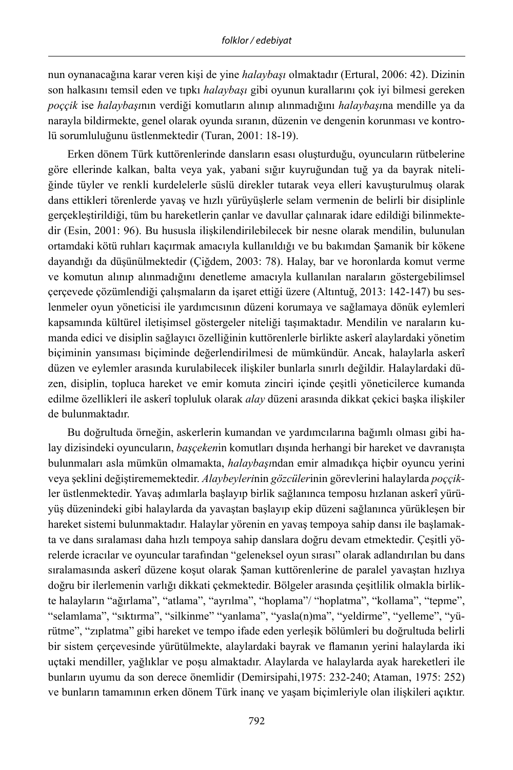nun oynanacağına karar veren kişi de yine *halaybaşı* olmaktadır (Ertural, 2006: 42). Dizinin son halkasını temsil eden ve tıpkı *halaybaşı* gibi oyunun kurallarını çok iyi bilmesi gereken *poççik* ise *halaybaşı*nın verdiği komutların alınıp alınmadığını *halaybaşı*na mendille ya da narayla bildirmekte, genel olarak oyunda sıranın, düzenin ve dengenin korunması ve kontrolü sorumluluğunu üstlenmektedir (Turan, 2001: 18-19).

Erken dönem Türk kuttörenlerinde dansların esası oluşturduğu, oyuncuların rütbelerine göre ellerinde kalkan, balta veya yak, yabani sığır kuyruğundan tuğ ya da bayrak niteliğinde tüyler ve renkli kurdelelerle süslü direkler tutarak veya elleri kavuşturulmuş olarak dans ettikleri törenlerde yavaş ve hızlı yürüyüşlerle selam vermenin de belirli bir disiplinle gerçekleştirildiği, tüm bu hareketlerin çanlar ve davullar çalınarak idare edildiği bilinmektedir (Esin, 2001: 96). Bu hususla ilişkilendirilebilecek bir nesne olarak mendilin, bulunulan ortamdaki kötü ruhları kaçırmak amacıyla kullanıldığı ve bu bakımdan Şamanik bir kökene dayandığı da düşünülmektedir (Çiğdem, 2003: 78). Halay, bar ve horonlarda komut verme ve komutun alınıp alınmadığını denetleme amacıyla kullanılan naraların göstergebilimsel çerçevede çözümlendiği çalışmaların da işaret ettiği üzere (Altıntuğ, 2013: 142-147) bu seslenmeler oyun yöneticisi ile yardımcısının düzeni korumaya ve sağlamaya dönük eylemleri kapsamında kültürel iletişimsel göstergeler niteliği taşımaktadır. Mendilin ve naraların kumanda edici ve disiplin sağlayıcı özelliğinin kuttörenlerle birlikte askerî alaylardaki yönetim biçiminin yansıması biçiminde değerlendirilmesi de mümkündür. Ancak, halaylarla askerî düzen ve eylemler arasında kurulabilecek ilişkiler bunlarla sınırlı değildir. Halaylardaki düzen, disiplin, topluca hareket ve emir komuta zinciri içinde çeşitli yöneticilerce kumanda edilme özellikleri ile askerî topluluk olarak *alay* düzeni arasında dikkat çekici başka ilişkiler de bulunmaktadır.

Bu doğrultuda örneğin, askerlerin kumandan ve yardımcılarına bağımlı olması gibi halay dizisindeki oyuncuların, *başçeken*in komutları dışında herhangi bir hareket ve davranışta bulunmaları asla mümkün olmamakta, *halaybaşı*ndan emir almadıkça hiçbir oyuncu yerini veya şeklini değiştirememektedir. *Alaybeyleri*nin *gözcüler*inin görevlerini halaylarda *poççik*ler üstlenmektedir. Yavaş adımlarla başlayıp birlik sağlanınca temposu hızlanan askerî yürüyüş düzenindeki gibi halaylarda da yavaştan başlayıp ekip düzeni sağlanınca yürükleşen bir hareket sistemi bulunmaktadır. Halaylar yörenin en yavaş tempoya sahip dansı ile başlamakta ve dans sıralaması daha hızlı tempoya sahip danslara doğru devam etmektedir. Çeşitli yörelerde icracılar ve oyuncular tarafından "geleneksel oyun sırası" olarak adlandırılan bu dans sıralamasında askerî düzene koşut olarak Şaman kuttörenlerine de paralel yavaştan hızlıya doğru bir ilerlemenin varlığı dikkati çekmektedir. Bölgeler arasında çeşitlilik olmakla birlikte halayların "ağırlama", "atlama", "ayrılma", "hoplama"/ "hoplatma", "kollama", "tepme", "selamlama", "sıktırma", "silkinme" "yanlama", "yasla(n)ma", "yeldirme", "yelleme", "yürütme", "zıplatma" gibi hareket ve tempo ifade eden yerleşik bölümleri bu doğrultuda belirli bir sistem çerçevesinde yürütülmekte, alaylardaki bayrak ve flamanın yerini halaylarda iki uçtaki mendiller, yağlıklar ve poşu almaktadır. Alaylarda ve halaylarda ayak hareketleri ile bunların uyumu da son derece önemlidir (Demirsipahi,1975: 232-240; Ataman, 1975: 252) ve bunların tamamının erken dönem Türk inanç ve yaşam biçimleriyle olan ilişkileri açıktır.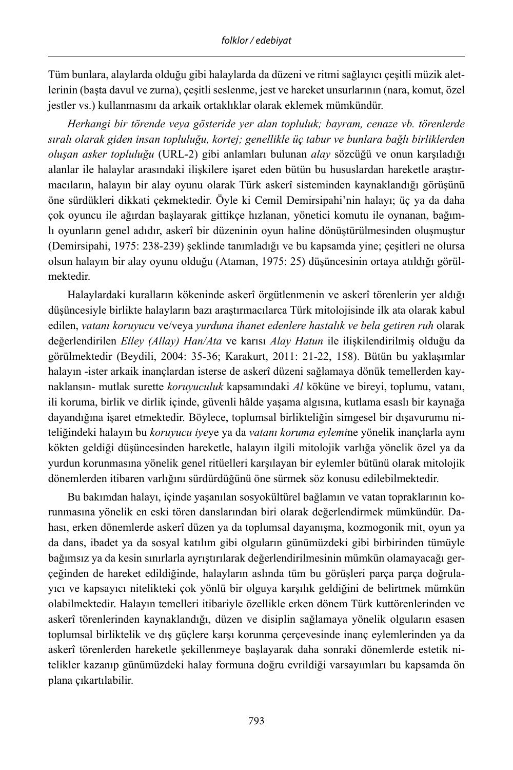Tüm bunlara, alaylarda olduğu gibi halaylarda da düzeni ve ritmi sağlayıcı çeşitli müzik aletlerinin (başta davul ve zurna), çeşitli seslenme, jest ve hareket unsurlarının (nara, komut, özel jestler vs.) kullanmasını da arkaik ortaklıklar olarak eklemek mümkündür.

*Herhangi bir törende veya gösteride yer alan topluluk; bayram, cenaze vb. törenlerde sıralı olarak giden insan topluluğu, kortej; genellikle üç tabur ve bunlara bağlı birliklerden oluşan asker topluluğu* (URL-2) gibi anlamları bulunan *alay* sözcüğü ve onun karşıladığı alanlar ile halaylar arasındaki ilişkilere işaret eden bütün bu hususlardan hareketle araştırmacıların, halayın bir alay oyunu olarak Türk askerî sisteminden kaynaklandığı görüşünü öne sürdükleri dikkati çekmektedir. Öyle ki Cemil Demirsipahi'nin halayı; üç ya da daha çok oyuncu ile ağırdan başlayarak gittikçe hızlanan, yönetici komutu ile oynanan, bağımlı oyunların genel adıdır, askerî bir düzeninin oyun haline dönüştürülmesinden oluşmuştur (Demirsipahi, 1975: 238-239) şeklinde tanımladığı ve bu kapsamda yine; çeşitleri ne olursa olsun halayın bir alay oyunu olduğu (Ataman, 1975: 25) düşüncesinin ortaya atıldığı görülmektedir.

Halaylardaki kuralların kökeninde askerî örgütlenmenin ve askerî törenlerin yer aldığı düşüncesiyle birlikte halayların bazı araştırmacılarca Türk mitolojisinde ilk ata olarak kabul edilen, *vatanı koruyucu* ve/veya *yurduna ihanet edenlere hastalık ve bela getiren ruh* olarak değerlendirilen *Elley (Allay) Han/Ata* ve karısı *Alay Hatun* ile ilişkilendirilmiş olduğu da görülmektedir (Beydili, 2004: 35-36; Karakurt, 2011: 21-22, 158). Bütün bu yaklaşımlar halayın -ister arkaik inançlardan isterse de askerî düzeni sağlamaya dönük temellerden kaynaklansın- mutlak surette *koruyuculuk* kapsamındaki *Al* köküne ve bireyi, toplumu, vatanı, ili koruma, birlik ve dirlik içinde, güvenli hâlde yaşama algısına, kutlama esaslı bir kaynağa dayandığına işaret etmektedir. Böylece, toplumsal birlikteliğin simgesel bir dışavurumu niteliğindeki halayın bu *koruyucu iye*ye ya da *vatanı koruma eylemi*ne yönelik inançlarla aynı kökten geldiği düşüncesinden hareketle, halayın ilgili mitolojik varlığa yönelik özel ya da yurdun korunmasına yönelik genel ritüelleri karşılayan bir eylemler bütünü olarak mitolojik dönemlerden itibaren varlığını sürdürdüğünü öne sürmek söz konusu edilebilmektedir.

Bu bakımdan halayı, içinde yaşanılan sosyokültürel bağlamın ve vatan topraklarının korunmasına yönelik en eski tören danslarından biri olarak değerlendirmek mümkündür. Dahası, erken dönemlerde askerî düzen ya da toplumsal dayanışma, kozmogonik mit, oyun ya da dans, ibadet ya da sosyal katılım gibi olguların günümüzdeki gibi birbirinden tümüyle bağımsız ya da kesin sınırlarla ayrıştırılarak değerlendirilmesinin mümkün olamayacağı gerçeğinden de hareket edildiğinde, halayların aslında tüm bu görüşleri parça parça doğrulayıcı ve kapsayıcı nitelikteki çok yönlü bir olguya karşılık geldiğini de belirtmek mümkün olabilmektedir. Halayın temelleri itibariyle özellikle erken dönem Türk kuttörenlerinden ve askerî törenlerinden kaynaklandığı, düzen ve disiplin sağlamaya yönelik olguların esasen toplumsal birliktelik ve dış güçlere karşı korunma çerçevesinde inanç eylemlerinden ya da askerî törenlerden hareketle şekillenmeye başlayarak daha sonraki dönemlerde estetik nitelikler kazanıp günümüzdeki halay formuna doğru evrildiği varsayımları bu kapsamda ön plana çıkartılabilir.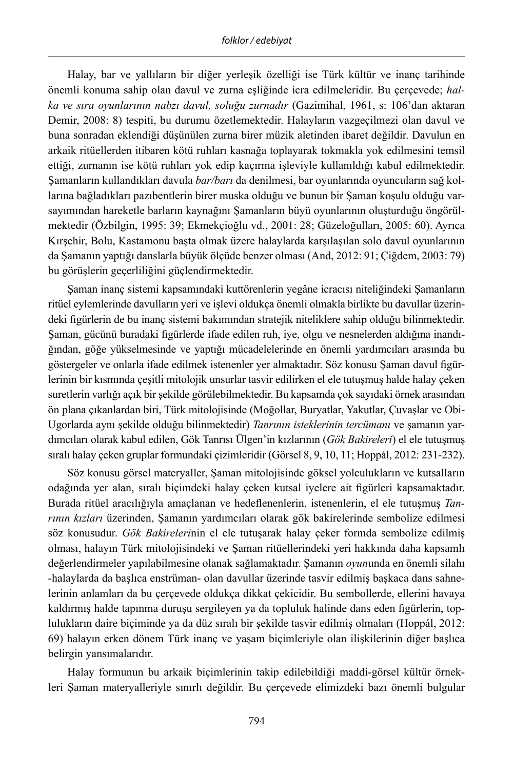Halay, bar ve yallıların bir diğer yerleşik özelliği ise Türk kültür ve inanç tarihinde önemli konuma sahip olan davul ve zurna eşliğinde icra edilmeleridir. Bu çerçevede; *halka ve sıra oyunlarının nabzı davul, soluğu zurnadır* (Gazimihal, 1961, s: 106'dan aktaran Demir, 2008: 8) tespiti, bu durumu özetlemektedir. Halayların vazgeçilmezi olan davul ve buna sonradan eklendiği düşünülen zurna birer müzik aletinden ibaret değildir. Davulun en arkaik ritüellerden itibaren kötü ruhları kasnağa toplayarak tokmakla yok edilmesini temsil ettiği, zurnanın ise kötü ruhları yok edip kaçırma işleviyle kullanıldığı kabul edilmektedir. Şamanların kullandıkları davula *bar/barı* da denilmesi, bar oyunlarında oyuncuların sağ kollarına bağladıkları pazıbentlerin birer muska olduğu ve bunun bir Şaman koşulu olduğu varsayımından hareketle barların kaynağını Şamanların büyü oyunlarının oluşturduğu öngörülmektedir (Özbilgin, 1995: 39; Ekmekçioğlu vd., 2001: 28; Güzeloğulları, 2005: 60). Ayrıca Kırşehir, Bolu, Kastamonu başta olmak üzere halaylarda karşılaşılan solo davul oyunlarının da Şamanın yaptığı danslarla büyük ölçüde benzer olması (And, 2012: 91; Çiğdem, 2003: 79) bu görüşlerin geçerliliğini güçlendirmektedir.

Şaman inanç sistemi kapsamındaki kuttörenlerin yegâne icracısı niteliğindeki Şamanların ritüel eylemlerinde davulların yeri ve işlevi oldukça önemli olmakla birlikte bu davullar üzerindeki figürlerin de bu inanç sistemi bakımından stratejik niteliklere sahip olduğu bilinmektedir. Şaman, gücünü buradaki figürlerde ifade edilen ruh, iye, olgu ve nesnelerden aldığına inandığından, göğe yükselmesinde ve yaptığı mücadelelerinde en önemli yardımcıları arasında bu göstergeler ve onlarla ifade edilmek istenenler yer almaktadır. Söz konusu Şaman davul figürlerinin bir kısmında çeşitli mitolojik unsurlar tasvir edilirken el ele tutuşmuş halde halay çeken suretlerin varlığı açık bir şekilde görülebilmektedir. Bu kapsamda çok sayıdaki örnek arasından ön plana çıkanlardan biri, Türk mitolojisinde (Moğollar, Buryatlar, Yakutlar, Çuvaşlar ve Obi-Ugorlarda aynı şekilde olduğu bilinmektedir) *Tanrının isteklerinin tercümanı* ve şamanın yardımcıları olarak kabul edilen, Gök Tanrısı Ülgen'in kızlarının (*Gök Bakireleri*) el ele tutuşmuş sıralı halay çeken gruplar formundaki çizimleridir (Görsel 8, 9, 10, 11; Hoppál, 2012: 231-232).

Söz konusu görsel materyaller, Şaman mitolojisinde göksel yolculukların ve kutsalların odağında yer alan, sıralı biçimdeki halay çeken kutsal iyelere ait figürleri kapsamaktadır. Burada ritüel aracılığıyla amaçlanan ve hedeflenenlerin, istenenlerin, el ele tutuşmuş *Tanrının kızları* üzerinden, Şamanın yardımcıları olarak gök bakirelerinde sembolize edilmesi söz konusudur. *Gök Bakireleri*nin el ele tutuşarak halay çeker formda sembolize edilmiş olması, halayın Türk mitolojisindeki ve Şaman ritüellerindeki yeri hakkında daha kapsamlı değerlendirmeler yapılabilmesine olanak sağlamaktadır. Şamanın *oyun*unda en önemli silahı -halaylarda da başlıca enstrüman- olan davullar üzerinde tasvir edilmiş başkaca dans sahnelerinin anlamları da bu çerçevede oldukça dikkat çekicidir. Bu sembollerde, ellerini havaya kaldırmış halde tapınma duruşu sergileyen ya da topluluk halinde dans eden figürlerin, toplulukların daire biçiminde ya da düz sıralı bir şekilde tasvir edilmiş olmaları (Hoppál, 2012: 69) halayın erken dönem Türk inanç ve yaşam biçimleriyle olan ilişkilerinin diğer başlıca belirgin yansımalarıdır.

Halay formunun bu arkaik biçimlerinin takip edilebildiği maddi-görsel kültür örnekleri Şaman materyalleriyle sınırlı değildir. Bu çerçevede elimizdeki bazı önemli bulgular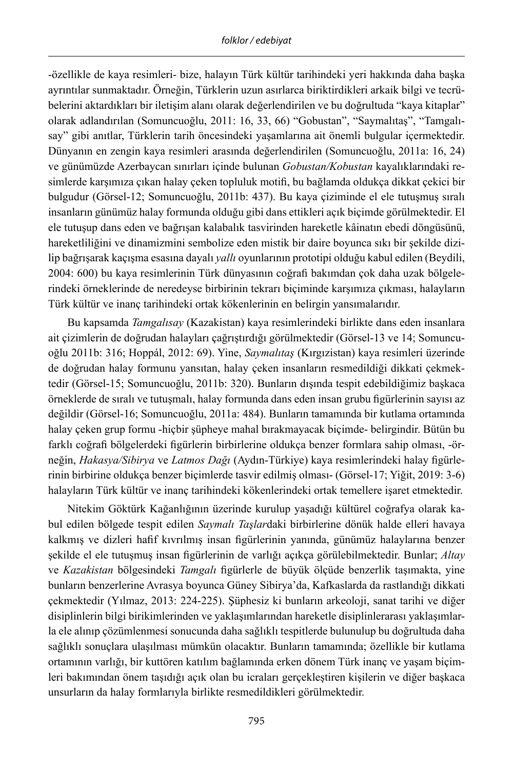-özellikle de kaya resimleri- bize, halayın Türk kültür tarihindeki yeri hakkında daha başka ayrıntılar sunmaktadır. Örneğin, Türklerin uzun asırlarca biriktirdikleri arkaik bilgi ve tecrübelerini aktardıkları bir iletişim alanı olarak değerlendirilen ve bu doğrultuda "kaya kitaplar" olarak adlandırılan (Somuncuoğlu, 2011: 16, 33, 66) "Gobustan", "Saymalıtaş", "Tamgalısay" gibi anıtlar, Türklerin tarih öncesindeki yaşamlarına ait önemli bulgular içermektedir. Dünyanın en zengin kaya resimleri arasında değerlendirilen (Somuncuoğlu, 2011a: 16, 24) ve günümüzde Azerbaycan sınırları içinde bulunan *Gobustan/Kobustan* kayalıklarındaki resimlerde karşımıza çıkan halay çeken topluluk motifi, bu bağlamda oldukça dikkat çekici bir bulgudur (Görsel-12; Somuncuoğlu, 2011b: 437). Bu kaya çiziminde el ele tutuşmuş sıralı insanların günümüz halay formunda olduğu gibi dans ettikleri açık biçimde görülmektedir. El ele tutuşup dans eden ve bağrışan kalabalık tasvirinden hareketle kâinatın ebedi döngüsünü, hareketliliğini ve dinamizmini sembolize eden mistik bir daire boyunca sıkı bir şekilde dizilip bağrışarak kaçışma esasına dayalı *yallı* oyunlarının prototipi olduğu kabul edilen (Beydili, 2004: 600) bu kaya resimlerinin Türk dünyasının coğrafi bakımdan çok daha uzak bölgelerindeki örneklerinde de neredeyse birbirinin tekrarı biçiminde karşımıza çıkması, halayların Türk kültür ve inanç tarihindeki ortak kökenlerinin en belirgin yansımalarıdır.

Bu kapsamda *Tamgalısay* (Kazakistan) kaya resimlerindeki birlikte dans eden insanlara ait çizimlerin de doğrudan halayları çağrıştırdığı görülmektedir (Görsel-13 ve 14; Somuncuoğlu 2011b: 316; Hoppál, 2012: 69). Yine, *Saymalıtaş* (Kırgızistan) kaya resimleri üzerinde de doğrudan halay formunu yansıtan, halay çeken insanların resmedildiği dikkati çekmektedir (Görsel-15; Somuncuoğlu, 2011b: 320). Bunların dışında tespit edebildiğimiz başkaca örneklerde de sıralı ve tutuşmalı, halay formunda dans eden insan grubu figürlerinin sayısı az değildir (Görsel-16; Somuncuoğlu, 2011a: 484). Bunların tamamında bir kutlama ortamında halay çeken grup formu -hiçbir şüpheye mahal bırakmayacak biçimde- belirgindir. Bütün bu farklı coğrafi bölgelerdeki figürlerin birbirlerine oldukça benzer formlara sahip olması, -örneğin, *Hakasya/Sibirya* ve *Latmos Dağı* (Aydın-Türkiye) kaya resimlerindeki halay figürlerinin birbirine oldukça benzer biçimlerde tasvir edilmiş olması- (Görsel-17; Yiğit, 2019: 3-6) halayların Türk kültür ve inanç tarihindeki kökenlerindeki ortak temellere işaret etmektedir.

Nitekim Göktürk Kağanlığının üzerinde kurulup yaşadığı kültürel coğrafya olarak kabul edilen bölgede tespit edilen *Saymalı Taşlar*daki birbirlerine dönük halde elleri havaya kalkmış ve dizleri hafif kıvrılmış insan figürlerinin yanında, günümüz halaylarına benzer şekilde el ele tutuşmuş insan figürlerinin de varlığı açıkça görülebilmektedir. Bunlar; *Altay* ve *Kazakistan* bölgesindeki *Tamgalı* figürlerle de büyük ölçüde benzerlik taşımakta, yine bunların benzerlerine Avrasya boyunca Güney Sibirya'da, Kafkaslarda da rastlandığı dikkati çekmektedir (Yılmaz, 2013: 224-225). Şüphesiz ki bunların arkeoloji, sanat tarihi ve diğer disiplinlerin bilgi birikimlerinden ve yaklaşımlarından hareketle disiplinlerarası yaklaşımlarla ele alınıp çözümlenmesi sonucunda daha sağlıklı tespitlerde bulunulup bu doğrultuda daha sağlıklı sonuçlara ulaşılması mümkün olacaktır. Bunların tamamında; özellikle bir kutlama ortamının varlığı, bir kuttören katılım bağlamında erken dönem Türk inanç ve yaşam biçimleri bakımından önem taşıdığı açık olan bu icraları gerçekleştiren kişilerin ve diğer başkaca unsurların da halay formlarıyla birlikte resmedildikleri görülmektedir.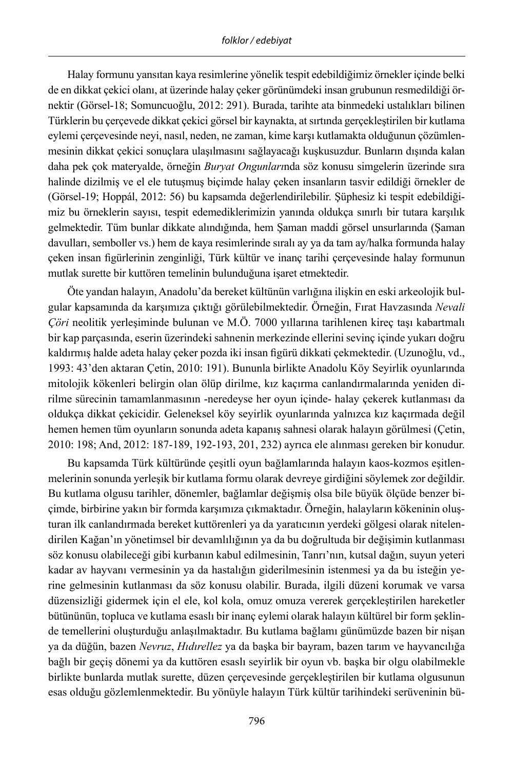Halay formunu yansıtan kaya resimlerine yönelik tespit edebildiğimiz örnekler içinde belki de en dikkat çekici olanı, at üzerinde halay çeker görünümdeki insan grubunun resmedildiği örnektir (Görsel-18; Somuncuoğlu, 2012: 291). Burada, tarihte ata binmedeki ustalıkları bilinen Türklerin bu çerçevede dikkat çekici görsel bir kaynakta, at sırtında gerçekleştirilen bir kutlama eylemi çerçevesinde neyi, nasıl, neden, ne zaman, kime karşı kutlamakta olduğunun çözümlenmesinin dikkat çekici sonuçlara ulaşılmasını sağlayacağı kuşkusuzdur. Bunların dışında kalan daha pek çok materyalde, örneğin *Buryat Ongunları*nda söz konusu simgelerin üzerinde sıra halinde dizilmiş ve el ele tutuşmuş biçimde halay çeken insanların tasvir edildiği örnekler de (Görsel-19; Hoppál, 2012: 56) bu kapsamda değerlendirilebilir. Şüphesiz ki tespit edebildiğimiz bu örneklerin sayısı, tespit edemediklerimizin yanında oldukça sınırlı bir tutara karşılık gelmektedir. Tüm bunlar dikkate alındığında, hem Şaman maddi görsel unsurlarında (Şaman davulları, semboller vs.) hem de kaya resimlerinde sıralı ay ya da tam ay/halka formunda halay çeken insan figürlerinin zenginliği, Türk kültür ve inanç tarihi çerçevesinde halay formunun mutlak surette bir kuttören temelinin bulunduğuna işaret etmektedir.

Öte yandan halayın, Anadolu'da bereket kültünün varlığına ilişkin en eski arkeolojik bulgular kapsamında da karşımıza çıktığı görülebilmektedir. Örneğin, Fırat Havzasında *Nevali Çöri* neolitik yerleşiminde bulunan ve M.Ö. 7000 yıllarına tarihlenen kireç taşı kabartmalı bir kap parçasında, eserin üzerindeki sahnenin merkezinde ellerini sevinç içinde yukarı doğru kaldırmış halde adeta halay çeker pozda iki insan figürü dikkati çekmektedir. (Uzunoğlu, vd., 1993: 43'den aktaran Çetin, 2010: 191). Bununla birlikte Anadolu Köy Seyirlik oyunlarında mitolojik kökenleri belirgin olan ölüp dirilme, kız kaçırma canlandırmalarında yeniden dirilme sürecinin tamamlanmasının -neredeyse her oyun içinde- halay çekerek kutlanması da oldukça dikkat çekicidir. Geleneksel köy seyirlik oyunlarında yalnızca kız kaçırmada değil hemen hemen tüm oyunların sonunda adeta kapanış sahnesi olarak halayın görülmesi (Çetin, 2010: 198; And, 2012: 187-189, 192-193, 201, 232) ayrıca ele alınması gereken bir konudur.

Bu kapsamda Türk kültüründe çeşitli oyun bağlamlarında halayın kaos-kozmos eşitlenmelerinin sonunda yerleşik bir kutlama formu olarak devreye girdiğini söylemek zor değildir. Bu kutlama olgusu tarihler, dönemler, bağlamlar değişmiş olsa bile büyük ölçüde benzer biçimde, birbirine yakın bir formda karşımıza çıkmaktadır. Örneğin, halayların kökeninin oluşturan ilk canlandırmada bereket kuttörenleri ya da yaratıcının yerdeki gölgesi olarak nitelendirilen Kağan'ın yönetimsel bir devamlılığının ya da bu doğrultuda bir değişimin kutlanması söz konusu olabileceği gibi kurbanın kabul edilmesinin, Tanrı'nın, kutsal dağın, suyun yeteri kadar av hayvanı vermesinin ya da hastalığın giderilmesinin istenmesi ya da bu isteğin yerine gelmesinin kutlanması da söz konusu olabilir. Burada, ilgili düzeni korumak ve varsa düzensizliği gidermek için el ele, kol kola, omuz omuza vererek gerçekleştirilen hareketler bütününün, topluca ve kutlama esaslı bir inanç eylemi olarak halayın kültürel bir form şeklinde temellerini oluşturduğu anlaşılmaktadır. Bu kutlama bağlamı günümüzde bazen bir nişan ya da düğün, bazen *Nevruz*, *Hıdırellez* ya da başka bir bayram, bazen tarım ve hayvancılığa bağlı bir geçiş dönemi ya da kuttören esaslı seyirlik bir oyun vb. başka bir olgu olabilmekle birlikte bunlarda mutlak surette, düzen çerçevesinde gerçekleştirilen bir kutlama olgusunun esas olduğu gözlemlenmektedir. Bu yönüyle halayın Türk kültür tarihindeki serüveninin bü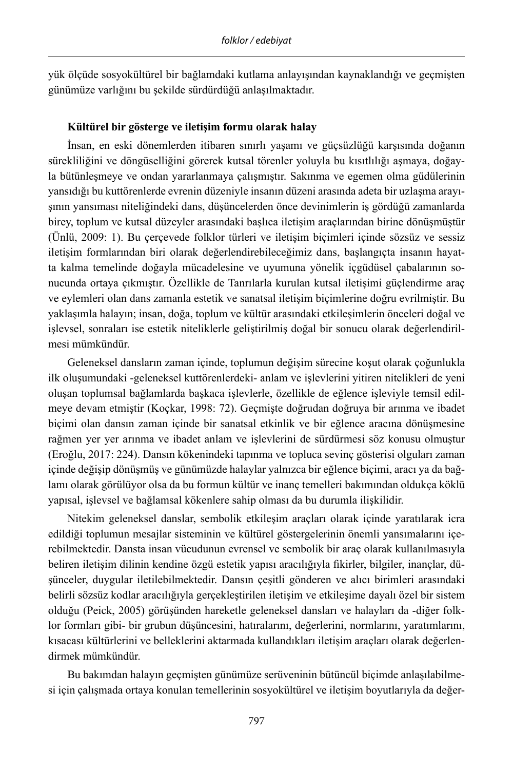yük ölçüde sosyokültürel bir bağlamdaki kutlama anlayışından kaynaklandığı ve geçmişten günümüze varlığını bu şekilde sürdürdüğü anlaşılmaktadır.

#### **Kültürel bir gösterge ve iletişim formu olarak halay**

İnsan, en eski dönemlerden itibaren sınırlı yaşamı ve güçsüzlüğü karşısında doğanın sürekliliğini ve döngüselliğini görerek kutsal törenler yoluyla bu kısıtlılığı aşmaya, doğayla bütünleşmeye ve ondan yararlanmaya çalışmıştır. Sakınma ve egemen olma güdülerinin yansıdığı bu kuttörenlerde evrenin düzeniyle insanın düzeni arasında adeta bir uzlaşma arayışının yansıması niteliğindeki dans, düşüncelerden önce devinimlerin iş gördüğü zamanlarda birey, toplum ve kutsal düzeyler arasındaki başlıca iletişim araçlarından birine dönüşmüştür (Ünlü, 2009: 1). Bu çerçevede folklor türleri ve iletişim biçimleri içinde sözsüz ve sessiz iletişim formlarından biri olarak değerlendirebileceğimiz dans, başlangıçta insanın hayatta kalma temelinde doğayla mücadelesine ve uyumuna yönelik içgüdüsel çabalarının sonucunda ortaya çıkmıştır. Özellikle de Tanrılarla kurulan kutsal iletişimi güçlendirme araç ve eylemleri olan dans zamanla estetik ve sanatsal iletişim biçimlerine doğru evrilmiştir. Bu yaklaşımla halayın; insan, doğa, toplum ve kültür arasındaki etkileşimlerin önceleri doğal ve işlevsel, sonraları ise estetik niteliklerle geliştirilmiş doğal bir sonucu olarak değerlendirilmesi mümkündür.

Geleneksel dansların zaman içinde, toplumun değişim sürecine koşut olarak çoğunlukla ilk oluşumundaki -geleneksel kuttörenlerdeki- anlam ve işlevlerini yitiren nitelikleri de yeni oluşan toplumsal bağlamlarda başkaca işlevlerle, özellikle de eğlence işleviyle temsil edilmeye devam etmiştir (Koçkar, 1998: 72). Geçmişte doğrudan doğruya bir arınma ve ibadet biçimi olan dansın zaman içinde bir sanatsal etkinlik ve bir eğlence aracına dönüşmesine rağmen yer yer arınma ve ibadet anlam ve işlevlerini de sürdürmesi söz konusu olmuştur (Eroğlu, 2017: 224). Dansın kökenindeki tapınma ve topluca sevinç gösterisi olguları zaman içinde değişip dönüşmüş ve günümüzde halaylar yalnızca bir eğlence biçimi, aracı ya da bağlamı olarak görülüyor olsa da bu formun kültür ve inanç temelleri bakımından oldukça köklü yapısal, işlevsel ve bağlamsal kökenlere sahip olması da bu durumla ilişkilidir.

Nitekim geleneksel danslar, sembolik etkileşim araçları olarak içinde yaratılarak icra edildiği toplumun mesajlar sisteminin ve kültürel göstergelerinin önemli yansımalarını içerebilmektedir. Dansta insan vücudunun evrensel ve sembolik bir araç olarak kullanılmasıyla beliren iletişim dilinin kendine özgü estetik yapısı aracılığıyla fikirler, bilgiler, inançlar, düşünceler, duygular iletilebilmektedir. Dansın çeşitli gönderen ve alıcı birimleri arasındaki belirli sözsüz kodlar aracılığıyla gerçekleştirilen iletişim ve etkileşime dayalı özel bir sistem olduğu (Peick, 2005) görüşünden hareketle geleneksel dansları ve halayları da -diğer folklor formları gibi- bir grubun düşüncesini, hatıralarını, değerlerini, normlarını, yaratımlarını, kısacası kültürlerini ve belleklerini aktarmada kullandıkları iletişim araçları olarak değerlendirmek mümkündür.

Bu bakımdan halayın geçmişten günümüze serüveninin bütüncül biçimde anlaşılabilmesi için çalışmada ortaya konulan temellerinin sosyokültürel ve iletişim boyutlarıyla da değer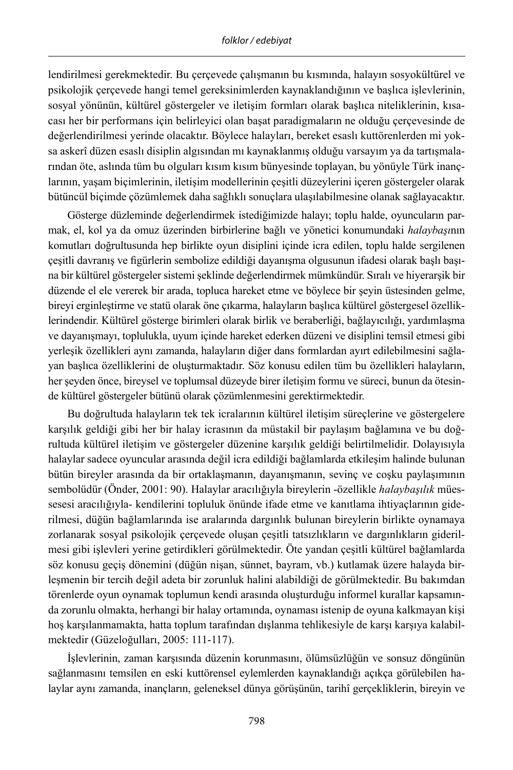lendirilmesi gerekmektedir. Bu çerçevede çalışmanın bu kısmında, halayın sosyokültürel ve psikolojik çerçevede hangi temel gereksinimlerden kaynaklandığının ve başlıca işlevlerinin, sosyal yönünün, kültürel göstergeler ve iletişim formları olarak başlıca niteliklerinin, kısacası her bir performans için belirleyici olan başat paradigmaların ne olduğu çerçevesinde de değerlendirilmesi yerinde olacaktır. Böylece halayları, bereket esaslı kuttörenlerden mi yoksa askerî düzen esaslı disiplin algısından mı kaynaklanmış olduğu varsayım ya da tartışmalarından öte, aslında tüm bu olguları kısım kısım bünyesinde toplayan, bu yönüyle Türk inançlarının, yaşam biçimlerinin, iletişim modellerinin çeşitli düzeylerini içeren göstergeler olarak bütüncül biçimde çözümlemek daha sağlıklı sonuçlara ulaşılabilmesine olanak sağlayacaktır.

Gösterge düzleminde değerlendirmek istediğimizde halayı; toplu halde, oyuncuların parmak, el, kol ya da omuz üzerinden birbirlerine bağlı ve yönetici konumundaki *halaybaşı*nın komutları doğrultusunda hep birlikte oyun disiplini içinde icra edilen, toplu halde sergilenen çeşitli davranış ve figürlerin sembolize edildiği dayanışma olgusunun ifadesi olarak başlı başına bir kültürel göstergeler sistemi şeklinde değerlendirmek mümkündür. Sıralı ve hiyerarşik bir düzende el ele vererek bir arada, topluca hareket etme ve böylece bir şeyin üstesinden gelme, bireyi erginleştirme ve statü olarak öne çıkarma, halayların başlıca kültürel göstergesel özelliklerindendir. Kültürel gösterge birimleri olarak birlik ve beraberliği, bağlayıcılığı, yardımlaşma ve dayanışmayı, toplulukla, uyum içinde hareket ederken düzeni ve disiplini temsil etmesi gibi yerleşik özellikleri aynı zamanda, halayların diğer dans formlardan ayırt edilebilmesini sağlayan başlıca özelliklerini de oluşturmaktadır. Söz konusu edilen tüm bu özellikleri halayların, her şeyden önce, bireysel ve toplumsal düzeyde birer iletişim formu ve süreci, bunun da ötesinde kültürel göstergeler bütünü olarak çözümlenmesini gerektirmektedir.

Bu doğrultuda halayların tek tek icralarının kültürel iletişim süreçlerine ve göstergelere karşılık geldiği gibi her bir halay icrasının da müstakil bir paylaşım bağlamına ve bu doğrultuda kültürel iletişim ve göstergeler düzenine karşılık geldiği belirtilmelidir. Dolayısıyla halaylar sadece oyuncular arasında değil icra edildiği bağlamlarda etkileşim halinde bulunan bütün bireyler arasında da bir ortaklaşmanın, dayanışmanın, sevinç ve coşku paylaşımının sembolüdür (Önder, 2001: 90). Halaylar aracılığıyla bireylerin -özellikle *halaybaşılık* müessesesi aracılığıyla- kendilerini topluluk önünde ifade etme ve kanıtlama ihtiyaçlarının giderilmesi, düğün bağlamlarında ise aralarında dargınlık bulunan bireylerin birlikte oynamaya zorlanarak sosyal psikolojik çerçevede oluşan çeşitli tatsızlıkların ve dargınlıkların giderilmesi gibi işlevleri yerine getirdikleri görülmektedir. Öte yandan çeşitli kültürel bağlamlarda söz konusu geçiş dönemini (düğün nişan, sünnet, bayram, vb.) kutlamak üzere halayda birleşmenin bir tercih değil adeta bir zorunluk halini alabildiği de görülmektedir. Bu bakımdan törenlerde oyun oynamak toplumun kendi arasında oluşturduğu informel kurallar kapsamında zorunlu olmakta, herhangi bir halay ortamında, oynaması istenip de oyuna kalkmayan kişi hoş karşılanmamakta, hatta toplum tarafından dışlanma tehlikesiyle de karşı karşıya kalabilmektedir (Güzeloğulları, 2005: 111-117).

İşlevlerinin, zaman karşısında düzenin korunmasını, ölümsüzlüğün ve sonsuz döngünün sağlanmasını temsilen en eski kuttörensel eylemlerden kaynaklandığı açıkça görülebilen halaylar aynı zamanda, inançların, geleneksel dünya görüşünün, tarihî gerçekliklerin, bireyin ve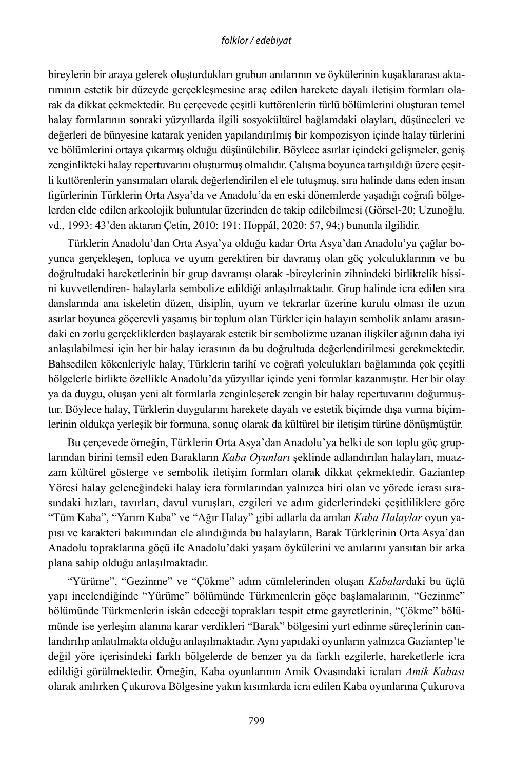bireylerin bir araya gelerek oluşturdukları grubun anılarının ve öykülerinin kuşaklararası aktarımının estetik bir düzeyde gerçekleşmesine araç edilen harekete dayalı iletişim formları olarak da dikkat çekmektedir. Bu çerçevede çeşitli kuttörenlerin türlü bölümlerini oluşturan temel halay formlarının sonraki yüzyıllarda ilgili sosyokültürel bağlamdaki olayları, düşünceleri ve değerleri de bünyesine katarak yeniden yapılandırılmış bir kompozisyon içinde halay türlerini ve bölümlerini ortaya çıkarmış olduğu düşünülebilir. Böylece asırlar içindeki gelişmeler, geniş zenginlikteki halay repertuvarını oluşturmuş olmalıdır. Çalışma boyunca tartışıldığı üzere çeşitli kuttörenlerin yansımaları olarak değerlendirilen el ele tutuşmuş, sıra halinde dans eden insan figürlerinin Türklerin Orta Asya'da ve Anadolu'da en eski dönemlerde yaşadığı coğrafi bölgelerden elde edilen arkeolojik buluntular üzerinden de takip edilebilmesi (Görsel-20; Uzunoğlu, vd., 1993: 43'den aktaran Çetin, 2010: 191; Hoppál, 2020: 57, 94;) bununla ilgilidir.

Türklerin Anadolu'dan Orta Asya'ya olduğu kadar Orta Asya'dan Anadolu'ya çağlar boyunca gerçekleşen, topluca ve uyum gerektiren bir davranış olan göç yolculuklarının ve bu doğrultudaki hareketlerinin bir grup davranışı olarak -bireylerinin zihnindeki birliktelik hissini kuvvetlendiren- halaylarla sembolize edildiği anlaşılmaktadır. Grup halinde icra edilen sıra danslarında ana iskeletin düzen, disiplin, uyum ve tekrarlar üzerine kurulu olması ile uzun asırlar boyunca göçerevli yaşamış bir toplum olan Türkler için halayın sembolik anlamı arasındaki en zorlu gerçekliklerden başlayarak estetik bir sembolizme uzanan ilişkiler ağının daha iyi anlaşılabilmesi için her bir halay icrasının da bu doğrultuda değerlendirilmesi gerekmektedir. Bahsedilen kökenleriyle halay, Türklerin tarihî ve coğrafi yolculukları bağlamında çok çeşitli bölgelerle birlikte özellikle Anadolu'da yüzyıllar içinde yeni formlar kazanmıştır. Her bir olay ya da duygu, oluşan yeni alt formlarla zenginleşerek zengin bir halay repertuvarını doğurmuştur. Böylece halay, Türklerin duygularını harekete dayalı ve estetik biçimde dışa vurma biçimlerinin oldukça yerleşik bir formuna, sonuç olarak da kültürel bir iletişim türüne dönüşmüştür.

Bu çerçevede örneğin, Türklerin Orta Asya'dan Anadolu'ya belki de son toplu göç gruplarından birini temsil eden Barakların *Kaba Oyunları* şeklinde adlandırılan halayları, muazzam kültürel gösterge ve sembolik iletişim formları olarak dikkat çekmektedir. Gaziantep Yöresi halay geleneğindeki halay icra formlarından yalnızca biri olan ve yörede icrası sırasındaki hızları, tavırları, davul vuruşları, ezgileri ve adım giderlerindeki çeşitliliklere göre "Tüm Kaba", "Yarım Kaba" ve "Ağır Halay" gibi adlarla da anılan *Kaba Halaylar* oyun yapısı ve karakteri bakımından ele alındığında bu halayların, Barak Türklerinin Orta Asya'dan Anadolu topraklarına göçü ile Anadolu'daki yaşam öykülerini ve anılarını yansıtan bir arka plana sahip olduğu anlaşılmaktadır.

"Yürüme", "Gezinme" ve "Çökme" adım cümlelerinden oluşan *Kabalar*daki bu üçlü yapı incelendiğinde "Yürüme" bölümünde Türkmenlerin göçe başlamalarının, "Gezinme" bölümünde Türkmenlerin iskân edeceği toprakları tespit etme gayretlerinin, "Çökme" bölümünde ise yerleşim alanına karar verdikleri "Barak" bölgesini yurt edinme süreçlerinin canlandırılıp anlatılmakta olduğu anlaşılmaktadır. Aynı yapıdaki oyunların yalnızca Gaziantep'te değil yöre içerisindeki farklı bölgelerde de benzer ya da farklı ezgilerle, hareketlerle icra edildiği görülmektedir. Örneğin, Kaba oyunlarının Amik Ovasındaki icraları *Amik Kabası* olarak anılırken Çukurova Bölgesine yakın kısımlarda icra edilen Kaba oyunlarına Çukurova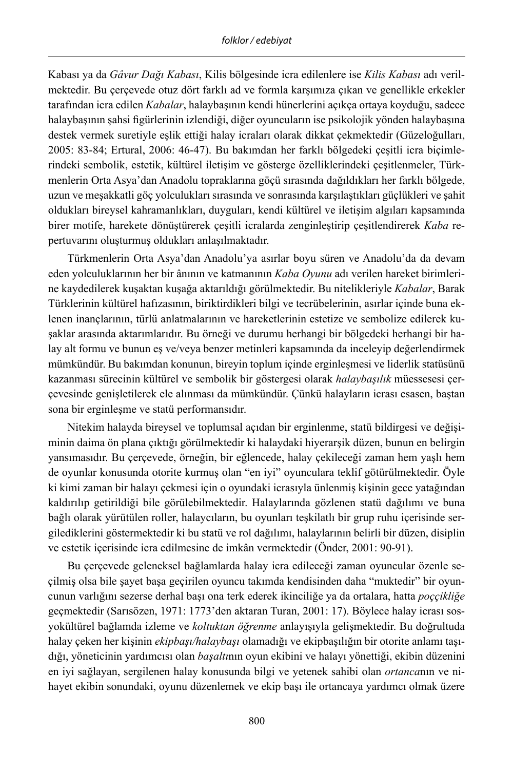Kabası ya da *Gâvur Dağı Kabası*, Kilis bölgesinde icra edilenlere ise *Kilis Kabası* adı verilmektedir. Bu çerçevede otuz dört farklı ad ve formla karşımıza çıkan ve genellikle erkekler tarafından icra edilen *Kabalar*, halaybaşının kendi hünerlerini açıkça ortaya koyduğu, sadece halaybaşının şahsi figürlerinin izlendiği, diğer oyuncuların ise psikolojik yönden halaybaşına destek vermek suretiyle eşlik ettiği halay icraları olarak dikkat çekmektedir (Güzeloğulları, 2005: 83-84; Ertural, 2006: 46-47). Bu bakımdan her farklı bölgedeki çeşitli icra biçimlerindeki sembolik, estetik, kültürel iletişim ve gösterge özelliklerindeki çeşitlenmeler, Türkmenlerin Orta Asya'dan Anadolu topraklarına göçü sırasında dağıldıkları her farklı bölgede, uzun ve meşakkatli göç yolculukları sırasında ve sonrasında karşılaştıkları güçlükleri ve şahit oldukları bireysel kahramanlıkları, duyguları, kendi kültürel ve iletişim algıları kapsamında birer motife, harekete dönüştürerek çeşitli icralarda zenginleştirip çeşitlendirerek *Kaba* repertuvarını oluşturmuş oldukları anlaşılmaktadır.

Türkmenlerin Orta Asya'dan Anadolu'ya asırlar boyu süren ve Anadolu'da da devam eden yolculuklarının her bir ânının ve katmanının *Kaba Oyunu* adı verilen hareket birimlerine kaydedilerek kuşaktan kuşağa aktarıldığı görülmektedir. Bu nitelikleriyle *Kabalar*, Barak Türklerinin kültürel hafızasının, biriktirdikleri bilgi ve tecrübelerinin, asırlar içinde buna eklenen inançlarının, türlü anlatmalarının ve hareketlerinin estetize ve sembolize edilerek kuşaklar arasında aktarımlarıdır. Bu örneği ve durumu herhangi bir bölgedeki herhangi bir halay alt formu ve bunun eş ve/veya benzer metinleri kapsamında da inceleyip değerlendirmek mümkündür. Bu bakımdan konunun, bireyin toplum içinde erginleşmesi ve liderlik statüsünü kazanması sürecinin kültürel ve sembolik bir göstergesi olarak *halaybaşılık* müessesesi çerçevesinde genişletilerek ele alınması da mümkündür. Çünkü halayların icrası esasen, baştan sona bir erginleşme ve statü performansıdır.

Nitekim halayda bireysel ve toplumsal açıdan bir erginlenme, statü bildirgesi ve değişiminin daima ön plana çıktığı görülmektedir ki halaydaki hiyerarşik düzen, bunun en belirgin yansımasıdır. Bu çerçevede, örneğin, bir eğlencede, halay çekileceği zaman hem yaşlı hem de oyunlar konusunda otorite kurmuş olan "en iyi" oyunculara teklif götürülmektedir. Öyle ki kimi zaman bir halayı çekmesi için o oyundaki icrasıyla ünlenmiş kişinin gece yatağından kaldırılıp getirildiği bile görülebilmektedir. Halaylarında gözlenen statü dağılımı ve buna bağlı olarak yürütülen roller, halaycıların, bu oyunları teşkilatlı bir grup ruhu içerisinde sergilediklerini göstermektedir ki bu statü ve rol dağılımı, halaylarının belirli bir düzen, disiplin ve estetik içerisinde icra edilmesine de imkân vermektedir (Önder, 2001: 90-91).

Bu çerçevede geleneksel bağlamlarda halay icra edileceği zaman oyuncular özenle seçilmiş olsa bile şayet başa geçirilen oyuncu takımda kendisinden daha "muktedir" bir oyuncunun varlığını sezerse derhal başı ona terk ederek ikinciliğe ya da ortalara, hatta *poççikliğe* geçmektedir (Sarısözen, 1971: 1773'den aktaran Turan, 2001: 17). Böylece halay icrası sosyokültürel bağlamda izleme ve *koltuktan öğrenme* anlayışıyla gelişmektedir. Bu doğrultuda halay çeken her kişinin *ekipbaşı/halaybaşı* olamadığı ve ekipbaşılığın bir otorite anlamı taşıdığı, yöneticinin yardımcısı olan *başaltı*nın oyun ekibini ve halayı yönettiği, ekibin düzenini en iyi sağlayan, sergilenen halay konusunda bilgi ve yetenek sahibi olan *ortanca*nın ve nihayet ekibin sonundaki, oyunu düzenlemek ve ekip başı ile ortancaya yardımcı olmak üzere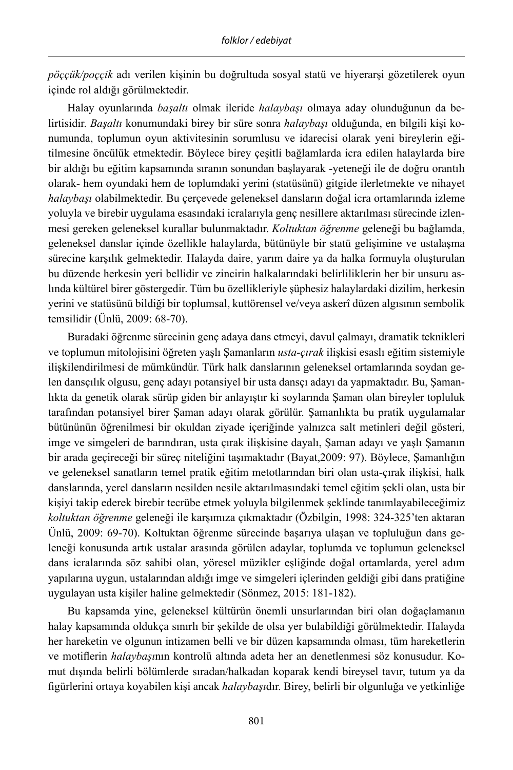*pöççük/poççik* adı verilen kişinin bu doğrultuda sosyal statü ve hiyerarşi gözetilerek oyun içinde rol aldığı görülmektedir.

Halay oyunlarında *başaltı* olmak ileride *halaybaşı* olmaya aday olunduğunun da belirtisidir. *Başaltı* konumundaki birey bir süre sonra *halaybaşı* olduğunda, en bilgili kişi konumunda, toplumun oyun aktivitesinin sorumlusu ve idarecisi olarak yeni bireylerin eğitilmesine öncülük etmektedir. Böylece birey çeşitli bağlamlarda icra edilen halaylarda bire bir aldığı bu eğitim kapsamında sıranın sonundan başlayarak -yeteneği ile de doğru orantılı olarak- hem oyundaki hem de toplumdaki yerini (statüsünü) gitgide ilerletmekte ve nihayet *halaybaşı* olabilmektedir. Bu çerçevede geleneksel dansların doğal icra ortamlarında izleme yoluyla ve birebir uygulama esasındaki icralarıyla genç nesillere aktarılması sürecinde izlenmesi gereken geleneksel kurallar bulunmaktadır. *Koltuktan öğrenme* geleneği bu bağlamda, geleneksel danslar içinde özellikle halaylarda, bütünüyle bir statü gelişimine ve ustalaşma sürecine karşılık gelmektedir. Halayda daire, yarım daire ya da halka formuyla oluşturulan bu düzende herkesin yeri bellidir ve zincirin halkalarındaki belirliliklerin her bir unsuru aslında kültürel birer göstergedir. Tüm bu özellikleriyle şüphesiz halaylardaki dizilim, herkesin yerini ve statüsünü bildiği bir toplumsal, kuttörensel ve/veya askerî düzen algısının sembolik temsilidir (Ünlü, 2009: 68-70).

Buradaki öğrenme sürecinin genç adaya dans etmeyi, davul çalmayı, dramatik teknikleri ve toplumun mitolojisini öğreten yaşlı Şamanların *usta-çırak* ilişkisi esaslı eğitim sistemiyle ilişkilendirilmesi de mümkündür. Türk halk danslarının geleneksel ortamlarında soydan gelen dansçılık olgusu, genç adayı potansiyel bir usta dansçı adayı da yapmaktadır. Bu, Şamanlıkta da genetik olarak sürüp giden bir anlayıştır ki soylarında Şaman olan bireyler topluluk tarafından potansiyel birer Şaman adayı olarak görülür. Şamanlıkta bu pratik uygulamalar bütününün öğrenilmesi bir okuldan ziyade içeriğinde yalnızca salt metinleri değil gösteri, imge ve simgeleri de barındıran, usta çırak ilişkisine dayalı, Şaman adayı ve yaşlı Şamanın bir arada geçireceği bir süreç niteliğini taşımaktadır (Bayat,2009: 97). Böylece, Şamanlığın ve geleneksel sanatların temel pratik eğitim metotlarından biri olan usta-çırak ilişkisi, halk danslarında, yerel dansların nesilden nesile aktarılmasındaki temel eğitim şekli olan, usta bir kişiyi takip ederek birebir tecrübe etmek yoluyla bilgilenmek şeklinde tanımlayabileceğimiz *koltuktan öğrenme* geleneği ile karşımıza çıkmaktadır (Özbilgin, 1998: 324-325'ten aktaran Ünlü, 2009: 69-70). Koltuktan öğrenme sürecinde başarıya ulaşan ve topluluğun dans geleneği konusunda artık ustalar arasında görülen adaylar, toplumda ve toplumun geleneksel dans icralarında söz sahibi olan, yöresel müzikler eşliğinde doğal ortamlarda, yerel adım yapılarına uygun, ustalarından aldığı imge ve simgeleri içlerinden geldiği gibi dans pratiğine uygulayan usta kişiler haline gelmektedir (Sönmez, 2015: 181-182).

Bu kapsamda yine, geleneksel kültürün önemli unsurlarından biri olan doğaçlamanın halay kapsamında oldukça sınırlı bir şekilde de olsa yer bulabildiği görülmektedir. Halayda her hareketin ve olgunun intizamen belli ve bir düzen kapsamında olması, tüm hareketlerin ve motiflerin *halaybaşı*nın kontrolü altında adeta her an denetlenmesi söz konusudur. Komut dışında belirli bölümlerde sıradan/halkadan koparak kendi bireysel tavır, tutum ya da figürlerini ortaya koyabilen kişi ancak *halaybaşı*dır. Birey, belirli bir olgunluğa ve yetkinliğe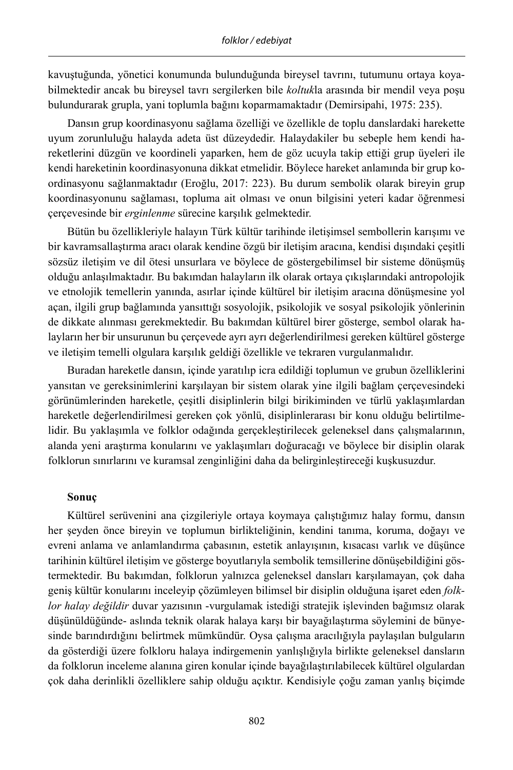kavuştuğunda, yönetici konumunda bulunduğunda bireysel tavrını, tutumunu ortaya koyabilmektedir ancak bu bireysel tavrı sergilerken bile *koltuk*la arasında bir mendil veya poşu bulundurarak grupla, yani toplumla bağını koparmamaktadır (Demirsipahi, 1975: 235).

Dansın grup koordinasyonu sağlama özelliği ve özellikle de toplu danslardaki harekette uyum zorunluluğu halayda adeta üst düzeydedir. Halaydakiler bu sebeple hem kendi hareketlerini düzgün ve koordineli yaparken, hem de göz ucuyla takip ettiği grup üyeleri ile kendi hareketinin koordinasyonuna dikkat etmelidir. Böylece hareket anlamında bir grup koordinasyonu sağlanmaktadır (Eroğlu, 2017: 223). Bu durum sembolik olarak bireyin grup koordinasyonunu sağlaması, topluma ait olması ve onun bilgisini yeteri kadar öğrenmesi çerçevesinde bir *erginlenme* sürecine karşılık gelmektedir.

Bütün bu özellikleriyle halayın Türk kültür tarihinde iletişimsel sembollerin karışımı ve bir kavramsallaştırma aracı olarak kendine özgü bir iletişim aracına, kendisi dışındaki çeşitli sözsüz iletişim ve dil ötesi unsurlara ve böylece de göstergebilimsel bir sisteme dönüşmüş olduğu anlaşılmaktadır. Bu bakımdan halayların ilk olarak ortaya çıkışlarındaki antropolojik ve etnolojik temellerin yanında, asırlar içinde kültürel bir iletişim aracına dönüşmesine yol açan, ilgili grup bağlamında yansıttığı sosyolojik, psikolojik ve sosyal psikolojik yönlerinin de dikkate alınması gerekmektedir. Bu bakımdan kültürel birer gösterge, sembol olarak halayların her bir unsurunun bu çerçevede ayrı ayrı değerlendirilmesi gereken kültürel gösterge ve iletişim temelli olgulara karşılık geldiği özellikle ve tekraren vurgulanmalıdır.

Buradan hareketle dansın, içinde yaratılıp icra edildiği toplumun ve grubun özelliklerini yansıtan ve gereksinimlerini karşılayan bir sistem olarak yine ilgili bağlam çerçevesindeki görünümlerinden hareketle, çeşitli disiplinlerin bilgi birikiminden ve türlü yaklaşımlardan hareketle değerlendirilmesi gereken çok yönlü, disiplinlerarası bir konu olduğu belirtilmelidir. Bu yaklaşımla ve folklor odağında gerçekleştirilecek geleneksel dans çalışmalarının, alanda yeni araştırma konularını ve yaklaşımları doğuracağı ve böylece bir disiplin olarak folklorun sınırlarını ve kuramsal zenginliğini daha da belirginleştireceği kuşkusuzdur.

#### **Sonuç**

Kültürel serüvenini ana çizgileriyle ortaya koymaya çalıştığımız halay formu, dansın her şeyden önce bireyin ve toplumun birlikteliğinin, kendini tanıma, koruma, doğayı ve evreni anlama ve anlamlandırma çabasının, estetik anlayışının, kısacası varlık ve düşünce tarihinin kültürel iletişim ve gösterge boyutlarıyla sembolik temsillerine dönüşebildiğini göstermektedir. Bu bakımdan, folklorun yalnızca geleneksel dansları karşılamayan, çok daha geniş kültür konularını inceleyip çözümleyen bilimsel bir disiplin olduğuna işaret eden *folklor halay değildir* duvar yazısının -vurgulamak istediği stratejik işlevinden bağımsız olarak düşünüldüğünde- aslında teknik olarak halaya karşı bir bayağılaştırma söylemini de bünyesinde barındırdığını belirtmek mümkündür. Oysa çalışma aracılığıyla paylaşılan bulguların da gösterdiği üzere folkloru halaya indirgemenin yanlışlığıyla birlikte geleneksel dansların da folklorun inceleme alanına giren konular içinde bayağılaştırılabilecek kültürel olgulardan çok daha derinlikli özelliklere sahip olduğu açıktır. Kendisiyle çoğu zaman yanlış biçimde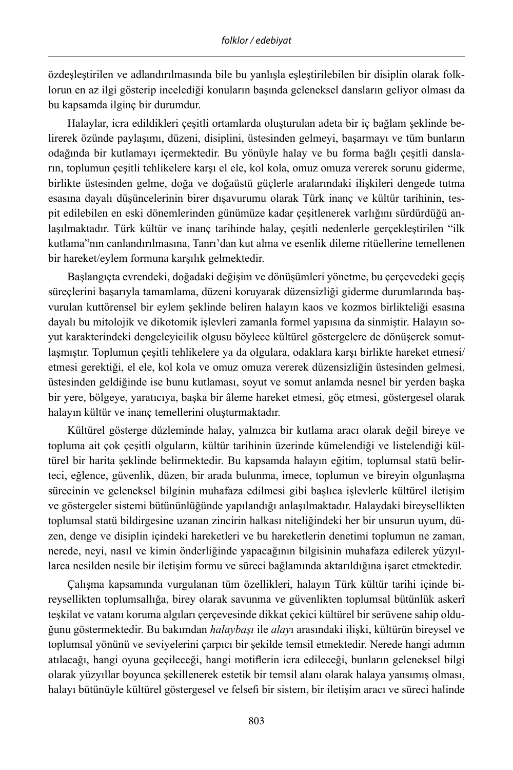özdeşleştirilen ve adlandırılmasında bile bu yanlışla eşleştirilebilen bir disiplin olarak folklorun en az ilgi gösterip incelediği konuların başında geleneksel dansların geliyor olması da bu kapsamda ilginç bir durumdur.

Halaylar, icra edildikleri çeşitli ortamlarda oluşturulan adeta bir iç bağlam şeklinde belirerek özünde paylaşımı, düzeni, disiplini, üstesinden gelmeyi, başarmayı ve tüm bunların odağında bir kutlamayı içermektedir. Bu yönüyle halay ve bu forma bağlı çeşitli dansların, toplumun çeşitli tehlikelere karşı el ele, kol kola, omuz omuza vererek sorunu giderme, birlikte üstesinden gelme, doğa ve doğaüstü güçlerle aralarındaki ilişkileri dengede tutma esasına dayalı düşüncelerinin birer dışavurumu olarak Türk inanç ve kültür tarihinin, tespit edilebilen en eski dönemlerinden günümüze kadar çeşitlenerek varlığını sürdürdüğü anlaşılmaktadır. Türk kültür ve inanç tarihinde halay, çeşitli nedenlerle gerçekleştirilen "ilk kutlama"nın canlandırılmasına, Tanrı'dan kut alma ve esenlik dileme ritüellerine temellenen bir hareket/eylem formuna karşılık gelmektedir.

Başlangıçta evrendeki, doğadaki değişim ve dönüşümleri yönetme, bu çerçevedeki geçiş süreçlerini başarıyla tamamlama, düzeni koruyarak düzensizliği giderme durumlarında başvurulan kuttörensel bir eylem şeklinde beliren halayın kaos ve kozmos birlikteliği esasına dayalı bu mitolojik ve dikotomik işlevleri zamanla formel yapısına da sinmiştir. Halayın soyut karakterindeki dengeleyicilik olgusu böylece kültürel göstergelere de dönüşerek somutlaşmıştır. Toplumun çeşitli tehlikelere ya da olgulara, odaklara karşı birlikte hareket etmesi/ etmesi gerektiği, el ele, kol kola ve omuz omuza vererek düzensizliğin üstesinden gelmesi, üstesinden geldiğinde ise bunu kutlaması, soyut ve somut anlamda nesnel bir yerden başka bir yere, bölgeye, yaratıcıya, başka bir âleme hareket etmesi, göç etmesi, göstergesel olarak halayın kültür ve inanç temellerini oluşturmaktadır.

Kültürel gösterge düzleminde halay, yalnızca bir kutlama aracı olarak değil bireye ve topluma ait çok çeşitli olguların, kültür tarihinin üzerinde kümelendiği ve listelendiği kültürel bir harita şeklinde belirmektedir. Bu kapsamda halayın eğitim, toplumsal statü belirteci, eğlence, güvenlik, düzen, bir arada bulunma, imece, toplumun ve bireyin olgunlaşma sürecinin ve geleneksel bilginin muhafaza edilmesi gibi başlıca işlevlerle kültürel iletişim ve göstergeler sistemi bütününlüğünde yapılandığı anlaşılmaktadır. Halaydaki bireysellikten toplumsal statü bildirgesine uzanan zincirin halkası niteliğindeki her bir unsurun uyum, düzen, denge ve disiplin içindeki hareketleri ve bu hareketlerin denetimi toplumun ne zaman, nerede, neyi, nasıl ve kimin önderliğinde yapacağının bilgisinin muhafaza edilerek yüzyıllarca nesilden nesile bir iletişim formu ve süreci bağlamında aktarıldığına işaret etmektedir.

Çalışma kapsamında vurgulanan tüm özellikleri, halayın Türk kültür tarihi içinde bireysellikten toplumsallığa, birey olarak savunma ve güvenlikten toplumsal bütünlük askerî teşkilat ve vatanı koruma algıları çerçevesinde dikkat çekici kültürel bir serüvene sahip olduğunu göstermektedir. Bu bakımdan *halaybaşı* ile *alay*ı arasındaki ilişki, kültürün bireysel ve toplumsal yönünü ve seviyelerini çarpıcı bir şekilde temsil etmektedir. Nerede hangi adımın atılacağı, hangi oyuna geçileceği, hangi motiflerin icra edileceği, bunların geleneksel bilgi olarak yüzyıllar boyunca şekillenerek estetik bir temsil alanı olarak halaya yansımış olması, halayı bütünüyle kültürel göstergesel ve felsefi bir sistem, bir iletişim aracı ve süreci halinde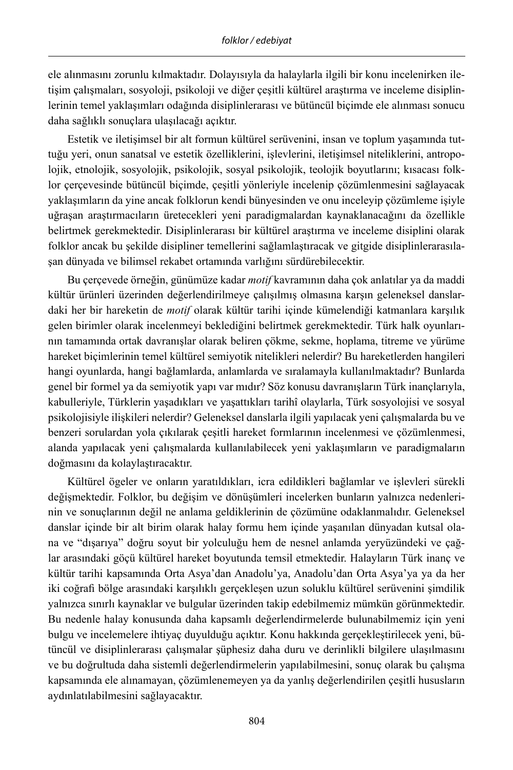ele alınmasını zorunlu kılmaktadır. Dolayısıyla da halaylarla ilgili bir konu incelenirken iletişim çalışmaları, sosyoloji, psikoloji ve diğer çeşitli kültürel araştırma ve inceleme disiplinlerinin temel yaklaşımları odağında disiplinlerarası ve bütüncül biçimde ele alınması sonucu daha sağlıklı sonuçlara ulaşılacağı açıktır.

Estetik ve iletişimsel bir alt formun kültürel serüvenini, insan ve toplum yaşamında tuttuğu yeri, onun sanatsal ve estetik özelliklerini, işlevlerini, iletişimsel niteliklerini, antropolojik, etnolojik, sosyolojik, psikolojik, sosyal psikolojik, teolojik boyutlarını; kısacası folklor çerçevesinde bütüncül biçimde, çeşitli yönleriyle incelenip çözümlenmesini sağlayacak yaklaşımların da yine ancak folklorun kendi bünyesinden ve onu inceleyip çözümleme işiyle uğraşan araştırmacıların üretecekleri yeni paradigmalardan kaynaklanacağını da özellikle belirtmek gerekmektedir. Disiplinlerarası bir kültürel araştırma ve inceleme disiplini olarak folklor ancak bu şekilde disipliner temellerini sağlamlaştıracak ve gitgide disiplinlerarasılaşan dünyada ve bilimsel rekabet ortamında varlığını sürdürebilecektir.

Bu çerçevede örneğin, günümüze kadar *motif* kavramının daha çok anlatılar ya da maddi kültür ürünleri üzerinden değerlendirilmeye çalışılmış olmasına karşın geleneksel danslardaki her bir hareketin de *motif* olarak kültür tarihi içinde kümelendiği katmanlara karşılık gelen birimler olarak incelenmeyi beklediğini belirtmek gerekmektedir. Türk halk oyunlarının tamamında ortak davranışlar olarak beliren çökme, sekme, hoplama, titreme ve yürüme hareket biçimlerinin temel kültürel semiyotik nitelikleri nelerdir? Bu hareketlerden hangileri hangi oyunlarda, hangi bağlamlarda, anlamlarda ve sıralamayla kullanılmaktadır? Bunlarda genel bir formel ya da semiyotik yapı var mıdır? Söz konusu davranışların Türk inançlarıyla, kabulleriyle, Türklerin yaşadıkları ve yaşattıkları tarihî olaylarla, Türk sosyolojisi ve sosyal psikolojisiyle ilişkileri nelerdir? Geleneksel danslarla ilgili yapılacak yeni çalışmalarda bu ve benzeri sorulardan yola çıkılarak çeşitli hareket formlarının incelenmesi ve çözümlenmesi, alanda yapılacak yeni çalışmalarda kullanılabilecek yeni yaklaşımların ve paradigmaların doğmasını da kolaylaştıracaktır.

Kültürel ögeler ve onların yaratıldıkları, icra edildikleri bağlamlar ve işlevleri sürekli değişmektedir. Folklor, bu değişim ve dönüşümleri incelerken bunların yalnızca nedenlerinin ve sonuçlarının değil ne anlama geldiklerinin de çözümüne odaklanmalıdır. Geleneksel danslar içinde bir alt birim olarak halay formu hem içinde yaşanılan dünyadan kutsal olana ve "dışarıya" doğru soyut bir yolculuğu hem de nesnel anlamda yeryüzündeki ve çağlar arasındaki göçü kültürel hareket boyutunda temsil etmektedir. Halayların Türk inanç ve kültür tarihi kapsamında Orta Asya'dan Anadolu'ya, Anadolu'dan Orta Asya'ya ya da her iki coğrafi bölge arasındaki karşılıklı gerçekleşen uzun soluklu kültürel serüvenini şimdilik yalnızca sınırlı kaynaklar ve bulgular üzerinden takip edebilmemiz mümkün görünmektedir. Bu nedenle halay konusunda daha kapsamlı değerlendirmelerde bulunabilmemiz için yeni bulgu ve incelemelere ihtiyaç duyulduğu açıktır. Konu hakkında gerçekleştirilecek yeni, bütüncül ve disiplinlerarası çalışmalar şüphesiz daha duru ve derinlikli bilgilere ulaşılmasını ve bu doğrultuda daha sistemli değerlendirmelerin yapılabilmesini, sonuç olarak bu çalışma kapsamında ele alınamayan, çözümlenemeyen ya da yanlış değerlendirilen çeşitli hususların aydınlatılabilmesini sağlayacaktır.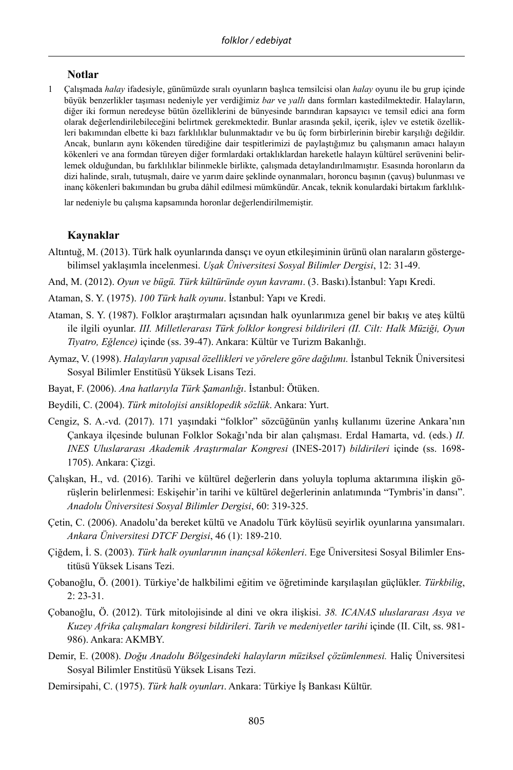#### **Notlar**

1 Çalışmada *halay* ifadesiyle, günümüzde sıralı oyunların başlıca temsilcisi olan *halay* oyunu ile bu grup içinde büyük benzerlikler taşıması nedeniyle yer verdiğimiz *bar* ve *yallı* dans formları kastedilmektedir. Halayların, diğer iki formun neredeyse bütün özelliklerini de bünyesinde barındıran kapsayıcı ve temsil edici ana form olarak değerlendirilebileceğini belirtmek gerekmektedir. Bunlar arasında şekil, içerik, işlev ve estetik özellikleri bakımından elbette ki bazı farklılıklar bulunmaktadır ve bu üç form birbirlerinin birebir karşılığı değildir. Ancak, bunların aynı kökenden türediğine dair tespitlerimizi de paylaştığımız bu çalışmanın amacı halayın kökenleri ve ana formdan türeyen diğer formlardaki ortaklıklardan hareketle halayın kültürel serüvenini belirlemek olduğundan, bu farklılıklar bilinmekle birlikte, çalışmada detaylandırılmamıştır. Esasında horonların da dizi halinde, sıralı, tutuşmalı, daire ve yarım daire şeklinde oynanmaları, horoncu başının (çavuş) bulunması ve inanç kökenleri bakımından bu gruba dâhil edilmesi mümkündür. Ancak, teknik konulardaki birtakım farklılık-

lar nedeniyle bu çalışma kapsamında horonlar değerlendirilmemiştir.

#### **Kaynaklar**

Altıntuğ, M. (2013). Türk halk oyunlarında dansçı ve oyun etkileşiminin ürünü olan naraların göstergebilimsel yaklaşımla incelenmesi. *Uşak Üniversitesi Sosyal Bilimler Dergisi*, 12: 31-49.

And, M. (2012). *Oyun ve bügü. Türk kültüründe oyun kavramı*. (3. Baskı).İstanbul: Yapı Kredi.

- Ataman, S. Y. (1975). *100 Türk halk oyunu*. İstanbul: Yapı ve Kredi.
- Ataman, S. Y. (1987). Folklor araştırmaları açısından halk oyunlarımıza genel bir bakış ve ateş kültü ile ilgili oyunlar. *III. Milletlerarası Türk folklor kongresi bildirileri (II. Cilt: Halk Müziği, Oyun Tiyatro, Eğlence)* içinde (ss. 39-47). Ankara: Kültür ve Turizm Bakanlığı.
- Aymaz, V. (1998). *Halayların yapısal özellikleri ve yörelere göre dağılımı.* İstanbul Teknik Üniversitesi Sosyal Bilimler Enstitüsü Yüksek Lisans Tezi.
- Bayat, F. (2006). *Ana hatlarıyla Türk Şamanlığı*. İstanbul: Ötüken.
- Beydili, C. (2004). *Türk mitolojisi ansiklopedik sözlük*. Ankara: Yurt.
- Cengiz, S. A.-vd. (2017). 171 yaşındaki "folklor" sözcüğünün yanlış kullanımı üzerine Ankara'nın Çankaya ilçesinde bulunan Folklor Sokağı'nda bir alan çalışması. Erdal Hamarta, vd. (eds.) *II. INES Uluslararası Akademik Araştırmalar Kongresi* (INES-2017) *bildirileri* içinde (ss. 1698- 1705). Ankara: Çizgi.
- Çalışkan, H., vd. (2016). Tarihi ve kültürel değerlerin dans yoluyla topluma aktarımına ilişkin görüşlerin belirlenmesi: Eskişehir'in tarihi ve kültürel değerlerinin anlatımında "Tymbris'in dansı". *Anadolu Üniversitesi Sosyal Bilimler Dergisi*, 60: 319-325.
- Çetin, C. (2006). Anadolu'da bereket kültü ve Anadolu Türk köylüsü seyirlik oyunlarına yansımaları. *Ankara Üniversitesi DTCF Dergisi*, 46 (1): 189-210.
- Çiğdem, İ. S. (2003). *Türk halk oyunlarının inançsal kökenleri*. Ege Üniversitesi Sosyal Bilimler Enstitüsü Yüksek Lisans Tezi.
- Çobanoğlu, Ö. (2001). Türkiye'de halkbilimi eğitim ve öğretiminde karşılaşılan güçlükler. *Türkbilig*, 2: 23-31.
- Çobanoğlu, Ö. (2012). Türk mitolojisinde al dini ve okra ilişkisi. *38. ICANAS uluslararası Asya ve Kuzey Afrika çalışmaları kongresi bildirileri*. *Tarih ve medeniyetler tarihi* içinde (II. Cilt, ss. 981- 986). Ankara: AKMBY.
- Demir, E. (2008). *Doğu Anadolu Bölgesindeki halayların müziksel çözümlenmesi.* Haliç Üniversitesi Sosyal Bilimler Enstitüsü Yüksek Lisans Tezi.
- Demirsipahi, C. (1975). *Türk halk oyunları*. Ankara: Türkiye İş Bankası Kültür.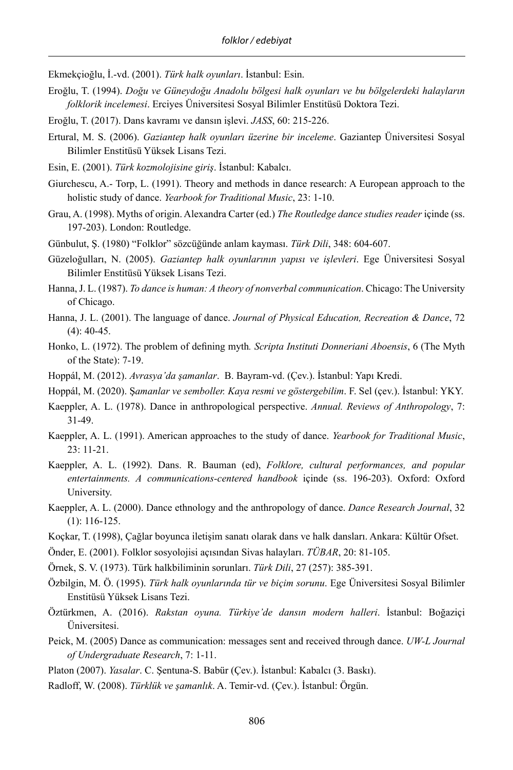Ekmekçioğlu, İ.-vd. (2001). *Türk halk oyunları*. İstanbul: Esin.

- Eroğlu, T. (1994). *Doğu ve Güneydoğu Anadolu bölgesi halk oyunları ve bu bölgelerdeki halayların folklorik incelemesi*. Erciyes Üniversitesi Sosyal Bilimler Enstitüsü Doktora Tezi.
- Eroğlu, T. (2017). Dans kavramı ve dansın işlevi. *JASS*, 60: 215-226.
- Ertural, M. S. (2006). *Gaziantep halk oyunları üzerine bir inceleme*. Gaziantep Üniversitesi Sosyal Bilimler Enstitüsü Yüksek Lisans Tezi.
- Esin, E. (2001). *Türk kozmolojisine giriş*. İstanbul: Kabalcı.
- Giurchescu, A.- Torp, L. (1991). Theory and methods in dance research: A European approach to the holistic study of dance. *Yearbook for Traditional Music*, 23: 1-10.
- Grau, A. (1998). Myths of origin. Alexandra Carter (ed.) *The Routledge dance studies reader* içinde (ss. 197-203). London: Routledge.
- Günbulut, Ş. (1980) "Folklor" sözcüğünde anlam kayması. *Türk Dili*, 348: 604-607.
- Güzeloğulları, N. (2005). *Gaziantep halk oyunlarının yapısı ve işlevleri*. Ege Üniversitesi Sosyal Bilimler Enstitüsü Yüksek Lisans Tezi.
- Hanna, J. L. (1987). *To dance is human: A theory of nonverbal communication*. Chicago: The University of Chicago.
- Hanna, J. L. (2001). The language of dance. *Journal of Physical Education, Recreation & Dance*, 72  $(4)$ : 40-45.
- Honko, L. (1972). The problem of defining myth*. Scripta Instituti Donneriani Aboensis*, 6 (The Myth of the State): 7-19.
- Hoppál, M. (2012). *Avrasya'da şamanlar*. B. Bayram-vd. (Çev.). İstanbul: Yapı Kredi.
- Hoppál, M. (2020). Ş*amanlar ve semboller. Kaya resmi ve göstergebilim*. F. Sel (çev.). İstanbul: YKY.
- Kaeppler, A. L. (1978). Dance in anthropological perspective. *Annual. Reviews of Anthropology*, 7: 31-49.
- Kaeppler, A. L. (1991). American approaches to the study of dance. *Yearbook for Traditional Music*, 23: 11-21.
- Kaeppler, A. L. (1992). Dans. R. Bauman (ed), *Folklore, cultural performances, and popular entertainments. A communications-centered handbook* içinde (ss. 196-203). Oxford: Oxford University.
- Kaeppler, A. L. (2000). Dance ethnology and the anthropology of dance. *Dance Research Journal*, 32 (1): 116-125.
- Koçkar, T. (1998), Çağlar boyunca iletişim sanatı olarak dans ve halk dansları. Ankara: Kültür Ofset.
- Önder, E. (2001). Folklor sosyolojisi açısından Sivas halayları. *TÜBAR*, 20: 81-105.
- Örnek, S. V. (1973). Türk halkbiliminin sorunları. *Türk Dili*, 27 (257): 385-391.
- Özbilgin, M. Ö. (1995). *Türk halk oyunlarında tür ve biçim sorunu*. Ege Üniversitesi Sosyal Bilimler Enstitüsü Yüksek Lisans Tezi.
- Öztürkmen, A. (2016). *Rakstan oyuna. Türkiye'de dansın modern halleri*. İstanbul: Boğaziçi Üniversitesi.
- Peick, M. (2005) Dance as communication: messages sent and received through dance. *UW-L Journal of Undergraduate Research*, 7: 1-11.
- Platon (2007). *Yasalar*. C. Şentuna-S. Babür (Çev.). İstanbul: Kabalcı (3. Baskı).
- Radloff, W. (2008). *Türklük ve şamanlık*. A. Temir-vd. (Çev.). İstanbul: Örgün.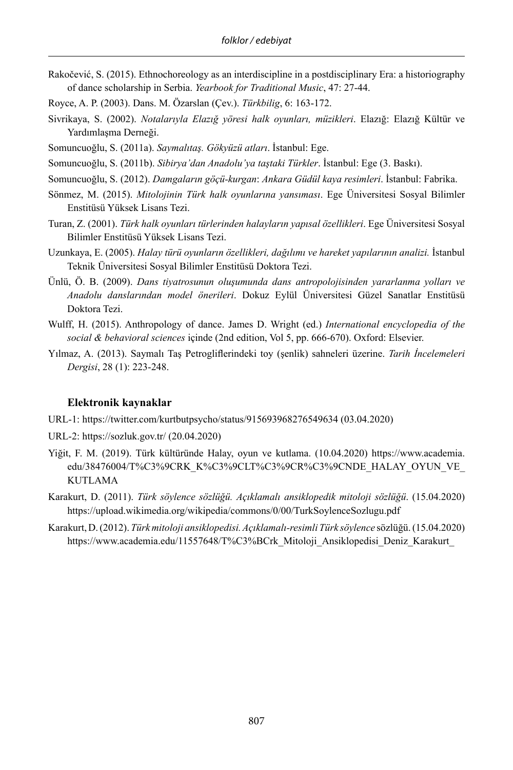Rakočević, S. (2015). Ethnochoreology as an interdiscipline in a postdisciplinary Era: a historiography of dance scholarship in Serbia. *Yearbook for Traditional Music*, 47: 27-44.

Royce, A. P. (2003). Dans. M. Özarslan (Çev.). *Türkbilig*, 6: 163-172.

- Sivrikaya, S. (2002). *Notalarıyla Elazığ yöresi halk oyunları, müzikleri*. Elazığ: Elazığ Kültür ve Yardımlaşma Derneği.
- Somuncuoğlu, S. (2011a). *Saymalıtaş. Gökyüzü atları*. İstanbul: Ege.
- Somuncuoğlu, S. (2011b). *Sibirya'dan Anadolu'ya taştaki Türkler*. İstanbul: Ege (3. Baskı).
- Somuncuoğlu, S. (2012). *Damgaların göçü-kurgan*: *Ankara Güdül kaya resimleri*. İstanbul: Fabrika.
- Sönmez, M. (2015). *Mitolojinin Türk halk oyunlarına yansıması*. Ege Üniversitesi Sosyal Bilimler Enstitüsü Yüksek Lisans Tezi.
- Turan, Z. (2001). *Türk halk oyunları türlerinden halayların yapısal özellikleri*. Ege Üniversitesi Sosyal Bilimler Enstitüsü Yüksek Lisans Tezi.
- Uzunkaya, E. (2005). *Halay türü oyunların özellikleri, dağılımı ve hareket yapılarının analizi.* İstanbul Teknik Üniversitesi Sosyal Bilimler Enstitüsü Doktora Tezi.
- Ünlü, Ö. B. (2009). *Dans tiyatrosunun oluşumunda dans antropolojisinden yararlanma yolları ve Anadolu danslarından model önerileri*. Dokuz Eylül Üniversitesi Güzel Sanatlar Enstitüsü Doktora Tezi.
- Wulff, H. (2015). Anthropology of dance. James D. Wright (ed.) *International encyclopedia of the social & behavioral sciences* içinde (2nd edition, Vol 5, pp. 666-670). Oxford: Elsevier.
- Yılmaz, A. (2013). Saymalı Taş Petrogliflerindeki toy (şenlik) sahneleri üzerine. *Tarih İncelemeleri Dergisi*, 28 (1): 223-248.

# **Elektronik kaynaklar**

URL-1: https://twitter.com/kurtbutpsycho/status/915693968276549634 (03.04.2020)

- URL-2: https://sozluk.gov.tr/ (20.04.2020)
- Yiğit, F. M. (2019). Türk kültüründe Halay, oyun ve kutlama. (10.04.2020) https://www.academia. edu/38476004/T%C3%9CRK\_K%C3%9CLT%C3%9CR%C3%9CNDE\_HALAY\_OYUN\_VE\_ KUTLAMA
- Karakurt, D. (2011). *Türk söylence sözlüğü. Açıklamalı ansiklopedik mitoloji sözlüğü*. (15.04.2020) https://upload.wikimedia.org/wikipedia/commons/0/00/TurkSoylenceSozlugu.pdf
- Karakurt, D. (2012). *Türk mitoloji ansiklopedisi. Açıklamalı-resimli Türk söylence* sözlüğü. (15.04.2020) https://www.academia.edu/11557648/T%C3%BCrk\_Mitoloji\_Ansiklopedisi\_Deniz\_Karakurt\_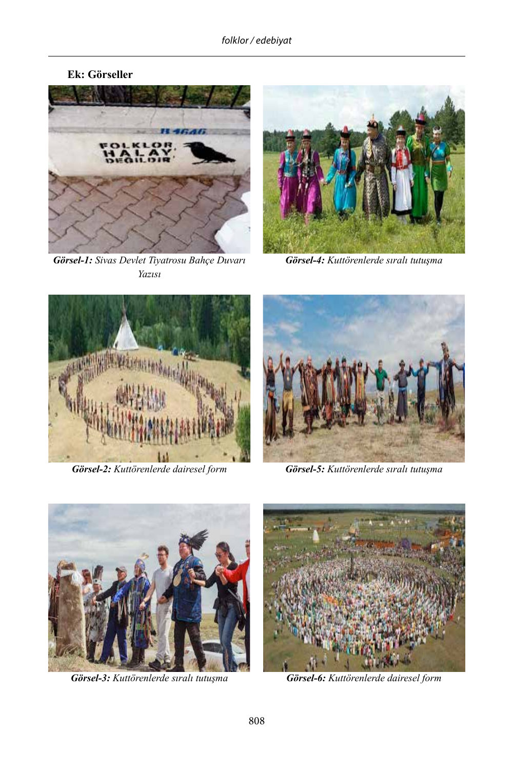



*Görsel-1: Sivas Devlet Tiyatrosu Bahçe Duvarı Yazısı*



*Görsel-4: Kuttörenlerde sıralı tutuşma*





*Görsel-2: Kuttörenlerde dairesel form Görsel-5: Kuttörenlerde sıralı tutuşma*



*Görsel-3: Kuttörenlerde sıralı tutuşma Görsel-6: Kuttörenlerde dairesel form*

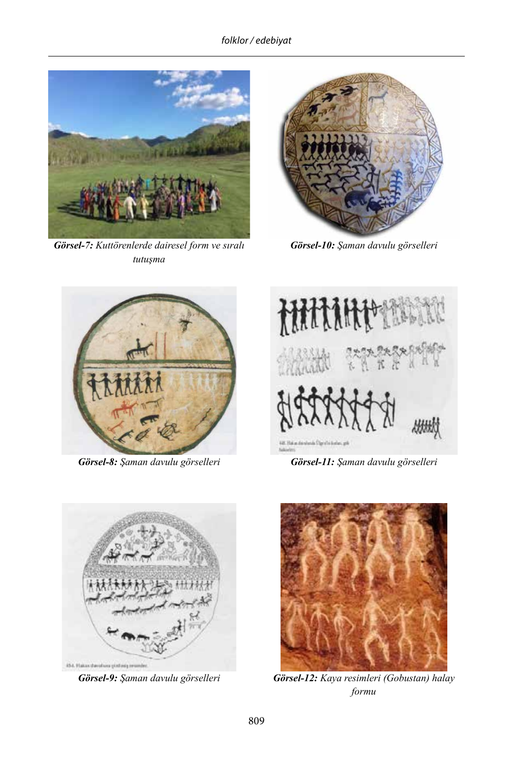*folklor / edebiyat*



*Görsel-7: Kuttörenlerde dairesel form ve sıralı tutuşma*



*Görsel-10: Şaman davulu görselleri*





*Görsel-8: Şaman davulu görselleri Görsel-11: Şaman davulu görselleri*





*Görsel-9: Şaman davulu görselleri Görsel-12: Kaya resimleri (Gobustan) halay formu*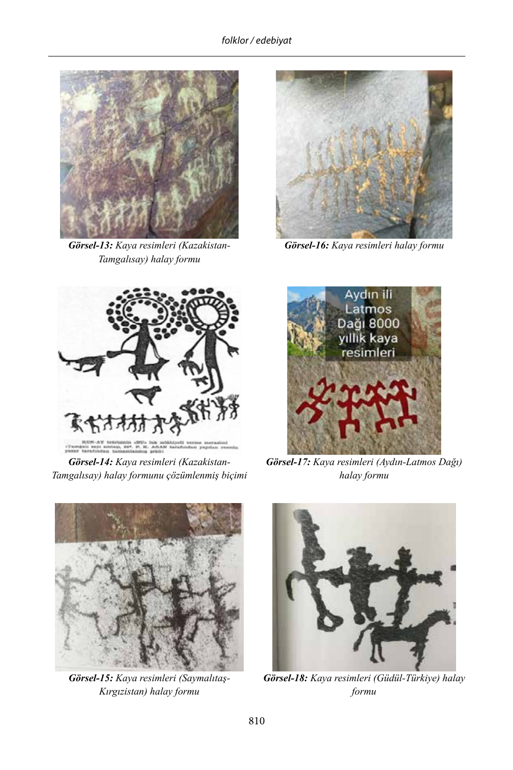

*Görsel-13: Kaya resimleri (Kazakistan-Tamgalısay) halay formu*



*Görsel-16: Kaya resimleri halay formu*



*Görsel-14: Kaya resimleri (Kazakistan-Tamgalısay) halay formunu çözümlenmiş biçimi*



*Görsel-17: Kaya resimleri (Aydın-Latmos Dağı) halay formu* 



*Görsel-15: Kaya resimleri (Saymalıtaş-Kırgızistan) halay formu*



*Görsel-18: Kaya resimleri (Güdül-Türkiye) halay formu*